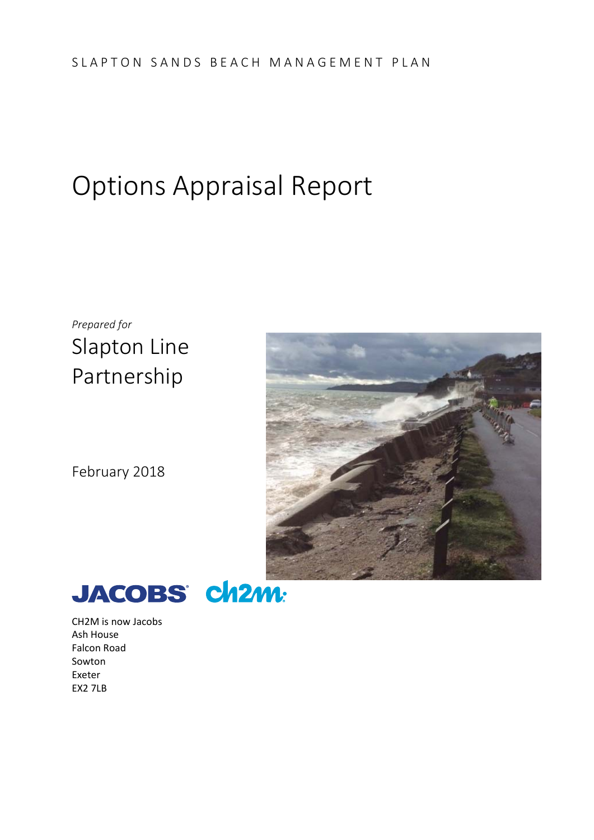# Options Appraisal Report

*Prepared for*  Slapton Line Partnership



February 2018



CH2M is now Jacobs Ash House Falcon Road Sowton Exeter EX2 7LB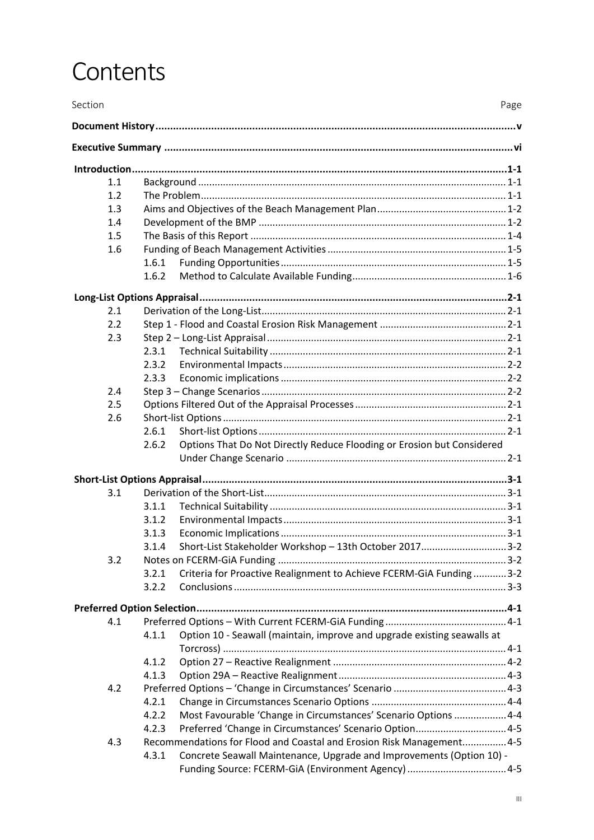# **Contents**

| Section |                                                                                  | Page |
|---------|----------------------------------------------------------------------------------|------|
|         |                                                                                  |      |
|         |                                                                                  |      |
|         |                                                                                  |      |
| 1.1     |                                                                                  |      |
| 1.2     |                                                                                  |      |
| 1.3     |                                                                                  |      |
| 1.4     |                                                                                  |      |
| 1.5     |                                                                                  |      |
| 1.6     |                                                                                  |      |
|         | 1.6.1                                                                            |      |
|         | 1.6.2                                                                            |      |
|         |                                                                                  |      |
| 2.1     |                                                                                  |      |
| 2.2     |                                                                                  |      |
| 2.3     |                                                                                  |      |
|         | 2.3.1                                                                            |      |
|         | 2.3.2                                                                            |      |
|         | 2.3.3                                                                            |      |
| 2.4     |                                                                                  |      |
| 2.5     |                                                                                  |      |
| 2.6     |                                                                                  |      |
|         | 2.6.1                                                                            |      |
|         | Options That Do Not Directly Reduce Flooding or Erosion but Considered<br>2.6.2  |      |
|         |                                                                                  |      |
|         |                                                                                  |      |
| 3.1     |                                                                                  |      |
|         | 3.1.1                                                                            |      |
|         | 3.1.2                                                                            |      |
|         | 3.1.3                                                                            |      |
|         | Short-List Stakeholder Workshop - 13th October 20173-2<br>3.1.4                  |      |
| 3.2     |                                                                                  |      |
|         | Criteria for Proactive Realignment to Achieve FCERM-GiA Funding  3-2<br>3.2.1    |      |
|         | 3.2.2                                                                            |      |
|         |                                                                                  |      |
| 4.1     |                                                                                  |      |
|         | Option 10 - Seawall (maintain, improve and upgrade existing seawalls at<br>4.1.1 |      |
|         |                                                                                  |      |
|         | 4.1.2                                                                            |      |
|         | 4.1.3                                                                            |      |
| 4.2     |                                                                                  |      |
|         | 4.2.1                                                                            |      |
|         | Most Favourable 'Change in Circumstances' Scenario Options 4-4<br>4.2.2          |      |
|         | 4.2.3<br>Preferred 'Change in Circumstances' Scenario Option 4-5                 |      |
| 4.3     | Recommendations for Flood and Coastal and Erosion Risk Management 4-5            |      |
|         | Concrete Seawall Maintenance, Upgrade and Improvements (Option 10) -<br>4.3.1    |      |
|         |                                                                                  |      |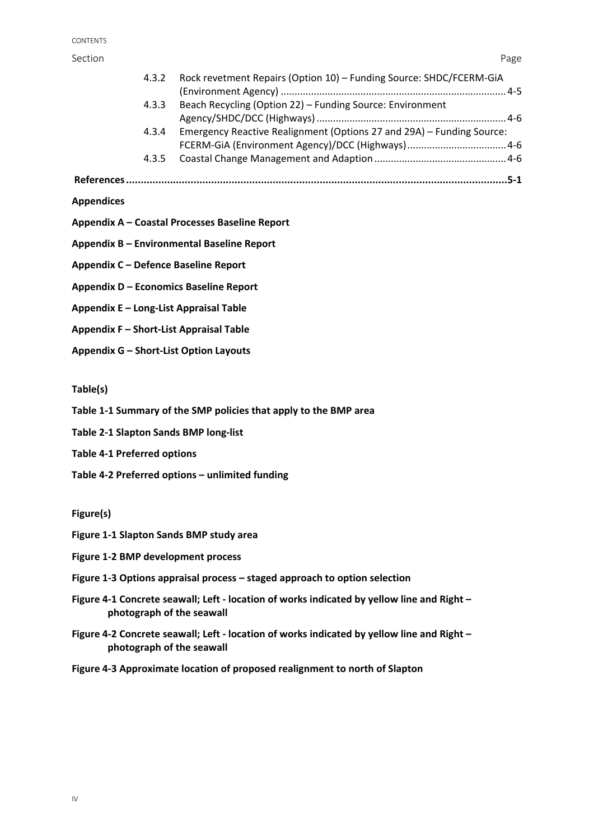#### CONTENTS

Section **Page** 

|--|--|

| 4.3.2 Rock revetment Repairs (Option 10) - Funding Source: SHDC/FCERM-GIA   |     |
|-----------------------------------------------------------------------------|-----|
|                                                                             |     |
| 4.3.3 Beach Recycling (Option 22) – Funding Source: Environment             |     |
|                                                                             |     |
| 4.3.4 Emergency Reactive Realignment (Options 27 and 29A) – Funding Source: |     |
|                                                                             |     |
|                                                                             |     |
|                                                                             | 5-1 |

**Appendices**

- **Appendix A – Coastal Processes Baseline Report**
- **Appendix B – Environmental Baseline Report**
- **Appendix C – Defence Baseline Report**
- **Appendix D – Economics Baseline Report**
- **Appendix E – Long‐List Appraisal Table**
- **Appendix F – Short‐List Appraisal Table**
- **Appendix G – Short‐List Option Layouts**

#### **Table(s)**

- **Table 1‐1 Summary of the SMP policies that apply to the BMP area**
- **Table 2‐1 Slapton Sands BMP long‐list**
- **Table 4‐1 Preferred options**
- **Table 4‐2 Preferred options – unlimited funding**

**Figure(s)**

- **Figure 1‐1 Slapton Sands BMP study area**
- **Figure 1‐2 BMP development process**
- **Figure 1‐3 Options appraisal process – staged approach to option selection**
- **Figure 4‐1 Concrete seawall; Left ‐ location of works indicated by yellow line and Right – photograph of the seawall**
- **Figure 4‐2 Concrete seawall; Left ‐ location of works indicated by yellow line and Right – photograph of the seawall**
- **Figure 4‐3 Approximate location of proposed realignment to north of Slapton**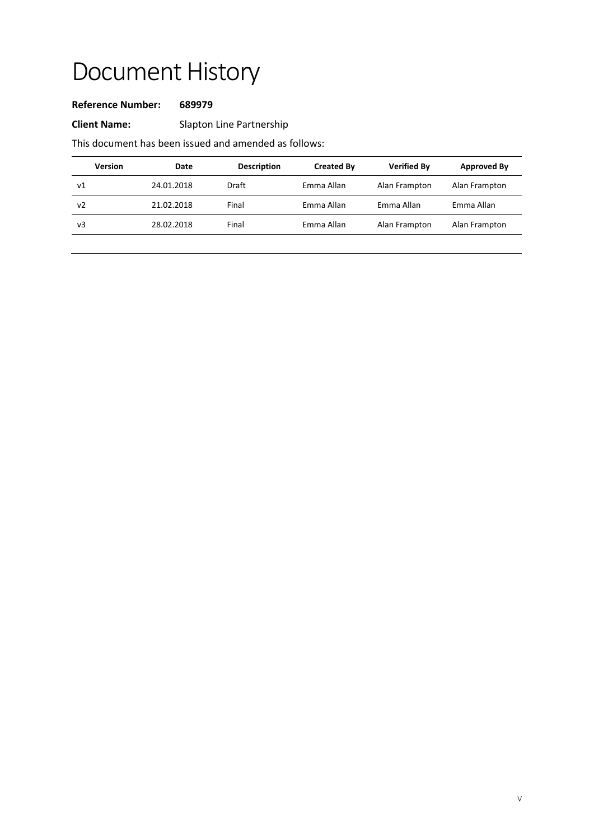# Document History

#### **Reference Number: 689979**

**Client Name:** Slapton Line Partnership

This document has been issued and amended as follows:

| <b>Version</b> | Date       | <b>Description</b> | <b>Created By</b> | <b>Verified By</b> | Approved By   |
|----------------|------------|--------------------|-------------------|--------------------|---------------|
| V <sub>1</sub> | 24.01.2018 | Draft              | Emma Allan        | Alan Frampton      | Alan Frampton |
| v <sub>2</sub> | 21.02.2018 | Final              | Emma Allan        | Emma Allan         | Emma Allan    |
| v3             | 28.02.2018 | Final              | Emma Allan        | Alan Frampton      | Alan Frampton |
|                |            |                    |                   |                    |               |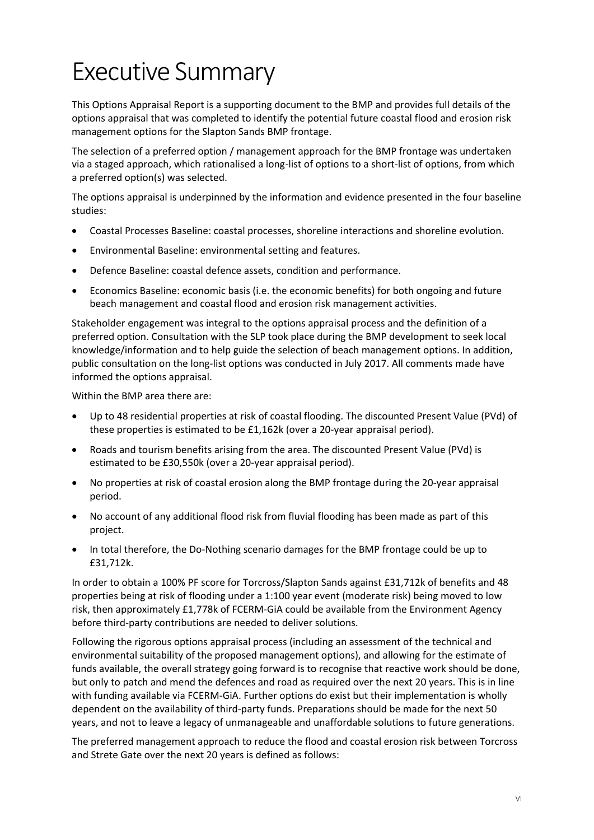# Executive Summary

This Options Appraisal Report is a supporting document to the BMP and provides full details of the options appraisal that was completed to identify the potential future coastal flood and erosion risk management options for the Slapton Sands BMP frontage.

The selection of a preferred option / management approach for the BMP frontage was undertaken via a staged approach, which rationalised a long‐list of options to a short‐list of options, from which a preferred option(s) was selected.

The options appraisal is underpinned by the information and evidence presented in the four baseline studies:

- Coastal Processes Baseline: coastal processes, shoreline interactions and shoreline evolution.
- Environmental Baseline: environmental setting and features.
- Defence Baseline: coastal defence assets, condition and performance.
- Economics Baseline: economic basis (i.e. the economic benefits) for both ongoing and future beach management and coastal flood and erosion risk management activities.

Stakeholder engagement was integral to the options appraisal process and the definition of a preferred option. Consultation with the SLP took place during the BMP development to seek local knowledge/information and to help guide the selection of beach management options. In addition, public consultation on the long‐list options was conducted in July 2017. All comments made have informed the options appraisal.

Within the BMP area there are:

- Up to 48 residential properties at risk of coastal flooding. The discounted Present Value (PVd) of these properties is estimated to be £1,162k (over a 20‐year appraisal period).
- Roads and tourism benefits arising from the area. The discounted Present Value (PVd) is estimated to be £30,550k (over a 20‐year appraisal period).
- No properties at risk of coastal erosion along the BMP frontage during the 20‐year appraisal period.
- No account of any additional flood risk from fluvial flooding has been made as part of this project.
- In total therefore, the Do-Nothing scenario damages for the BMP frontage could be up to £31,712k.

In order to obtain a 100% PF score for Torcross/Slapton Sands against £31,712k of benefits and 48 properties being at risk of flooding under a 1:100 year event (moderate risk) being moved to low risk, then approximately £1,778k of FCERM‐GiA could be available from the Environment Agency before third‐party contributions are needed to deliver solutions.

Following the rigorous options appraisal process (including an assessment of the technical and environmental suitability of the proposed management options), and allowing for the estimate of funds available, the overall strategy going forward is to recognise that reactive work should be done, but only to patch and mend the defences and road as required over the next 20 years. This is in line with funding available via FCERM‐GiA. Further options do exist but their implementation is wholly dependent on the availability of third-party funds. Preparations should be made for the next 50 years, and not to leave a legacy of unmanageable and unaffordable solutions to future generations.

The preferred management approach to reduce the flood and coastal erosion risk between Torcross and Strete Gate over the next 20 years is defined as follows: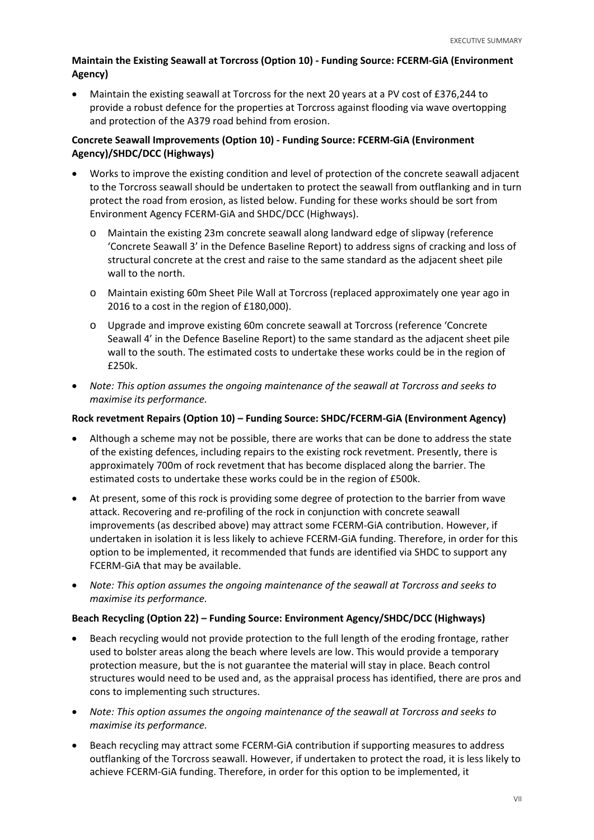#### **Maintain the Existing Seawall at Torcross (Option 10) ‐ Funding Source: FCERM‐GiA (Environment Agency)**

 Maintain the existing seawall at Torcross for the next 20 years at a PV cost of £376,244 to provide a robust defence for the properties at Torcross against flooding via wave overtopping and protection of the A379 road behind from erosion.

#### **Concrete Seawall Improvements (Option 10) ‐ Funding Source: FCERM‐GiA (Environment Agency)/SHDC/DCC (Highways)**

- Works to improve the existing condition and level of protection of the concrete seawall adjacent to the Torcross seawall should be undertaken to protect the seawall from outflanking and in turn protect the road from erosion, as listed below. Funding for these works should be sort from Environment Agency FCERM‐GiA and SHDC/DCC (Highways).
	- o Maintain the existing 23m concrete seawall along landward edge of slipway (reference 'Concrete Seawall 3' in the Defence Baseline Report) to address signs of cracking and loss of structural concrete at the crest and raise to the same standard as the adjacent sheet pile wall to the north.
	- o Maintain existing 60m Sheet Pile Wall at Torcross (replaced approximately one year ago in 2016 to a cost in the region of £180,000).
	- o Upgrade and improve existing 60m concrete seawall at Torcross (reference 'Concrete Seawall 4' in the Defence Baseline Report) to the same standard as the adjacent sheet pile wall to the south. The estimated costs to undertake these works could be in the region of £250k.
- *Note: This option assumes the ongoing maintenance of the seawall at Torcross and seeks to maximise its performance.*

#### **Rock revetment Repairs (Option 10) – Funding Source: SHDC/FCERM‐GiA (Environment Agency)**

- Although a scheme may not be possible, there are works that can be done to address the state of the existing defences, including repairs to the existing rock revetment. Presently, there is approximately 700m of rock revetment that has become displaced along the barrier. The estimated costs to undertake these works could be in the region of £500k.
- At present, some of this rock is providing some degree of protection to the barrier from wave attack. Recovering and re‐profiling of the rock in conjunction with concrete seawall improvements (as described above) may attract some FCERM‐GiA contribution. However, if undertaken in isolation it is less likely to achieve FCERM‐GiA funding. Therefore, in order for this option to be implemented, it recommended that funds are identified via SHDC to support any FCERM‐GiA that may be available.
- *Note: This option assumes the ongoing maintenance of the seawall at Torcross and seeks to maximise its performance.*

#### **Beach Recycling (Option 22) – Funding Source: Environment Agency/SHDC/DCC (Highways)**

- Beach recycling would not provide protection to the full length of the eroding frontage, rather used to bolster areas along the beach where levels are low. This would provide a temporary protection measure, but the is not guarantee the material will stay in place. Beach control structures would need to be used and, as the appraisal process has identified, there are pros and cons to implementing such structures.
- *Note: This option assumes the ongoing maintenance of the seawall at Torcross and seeks to maximise its performance.*
- Beach recycling may attract some FCERM‐GiA contribution if supporting measures to address outflanking of the Torcross seawall. However, if undertaken to protect the road, it is less likely to achieve FCERM‐GiA funding. Therefore, in order for this option to be implemented, it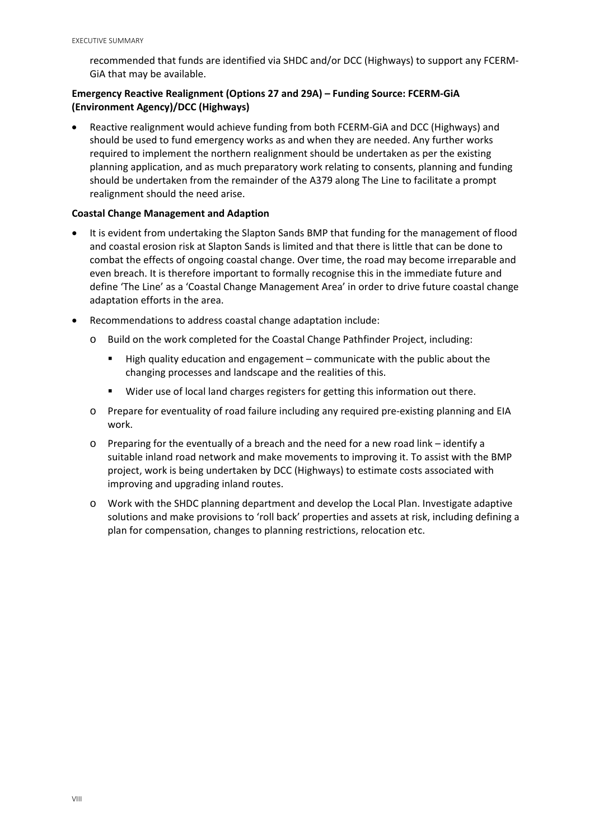recommended that funds are identified via SHDC and/or DCC (Highways) to support any FCERM‐ GiA that may be available.

#### **Emergency Reactive Realignment (Options 27 and 29A) – Funding Source: FCERM‐GiA (Environment Agency)/DCC (Highways)**

 Reactive realignment would achieve funding from both FCERM‐GiA and DCC (Highways) and should be used to fund emergency works as and when they are needed. Any further works required to implement the northern realignment should be undertaken as per the existing planning application, and as much preparatory work relating to consents, planning and funding should be undertaken from the remainder of the A379 along The Line to facilitate a prompt realignment should the need arise.

#### **Coastal Change Management and Adaption**

- It is evident from undertaking the Slapton Sands BMP that funding for the management of flood and coastal erosion risk at Slapton Sands is limited and that there is little that can be done to combat the effects of ongoing coastal change. Over time, the road may become irreparable and even breach. It is therefore important to formally recognise this in the immediate future and define 'The Line' as a 'Coastal Change Management Area' in order to drive future coastal change adaptation efforts in the area.
- Recommendations to address coastal change adaptation include:
	- o Build on the work completed for the Coastal Change Pathfinder Project, including:
		- High quality education and engagement communicate with the public about the changing processes and landscape and the realities of this.
		- Wider use of local land charges registers for getting this information out there.
	- o Prepare for eventuality of road failure including any required pre‐existing planning and EIA work.
	- o Preparing for the eventually of a breach and the need for a new road link identify a suitable inland road network and make movements to improving it. To assist with the BMP project, work is being undertaken by DCC (Highways) to estimate costs associated with improving and upgrading inland routes.
	- o Work with the SHDC planning department and develop the Local Plan. Investigate adaptive solutions and make provisions to 'roll back' properties and assets at risk, including defining a plan for compensation, changes to planning restrictions, relocation etc.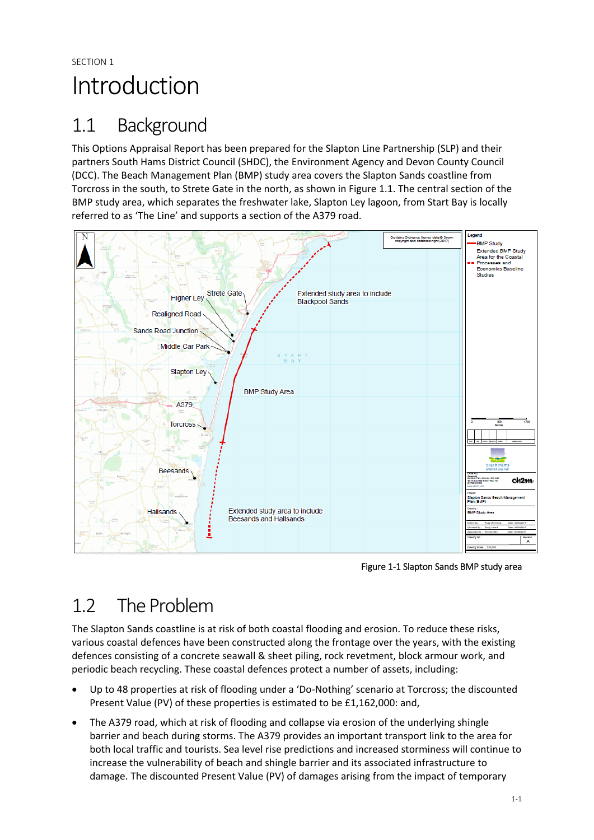# Introduction

# 1.1 Background

This Options Appraisal Report has been prepared for the Slapton Line Partnership (SLP) and their partners South Hams District Council (SHDC), the Environment Agency and Devon County Council (DCC). The Beach Management Plan (BMP) study area covers the Slapton Sands coastline from Torcross in the south, to Strete Gate in the north, as shown in Figure 1.1. The central section of the BMP study area, which separates the freshwater lake, Slapton Ley lagoon, from Start Bay is locally referred to as 'The Line' and supports a section of the A379 road.



Figure 1‐1 Slapton Sands BMP study area

# 1.2 The Problem

The Slapton Sands coastline is at risk of both coastal flooding and erosion. To reduce these risks, various coastal defences have been constructed along the frontage over the years, with the existing defences consisting of a concrete seawall & sheet piling, rock revetment, block armour work, and periodic beach recycling. These coastal defences protect a number of assets, including:

- Up to 48 properties at risk of flooding under a 'Do‐Nothing' scenario at Torcross; the discounted Present Value (PV) of these properties is estimated to be £1,162,000: and,
- The A379 road, which at risk of flooding and collapse via erosion of the underlying shingle barrier and beach during storms. The A379 provides an important transport link to the area for both local traffic and tourists. Sea level rise predictions and increased storminess will continue to increase the vulnerability of beach and shingle barrier and its associated infrastructure to damage. The discounted Present Value (PV) of damages arising from the impact of temporary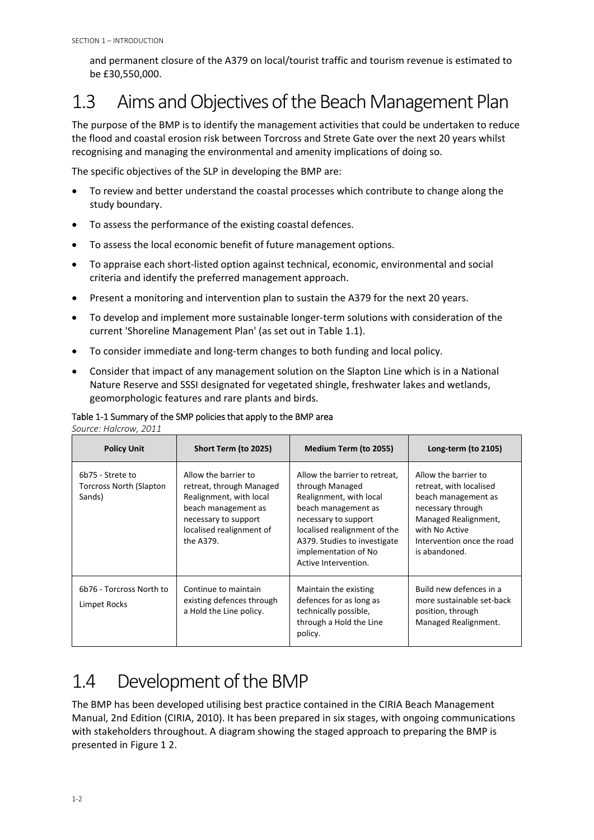and permanent closure of the A379 on local/tourist traffic and tourism revenue is estimated to be £30,550,000.

## 1.3 Aims and Objectives of the Beach Management Plan

The purpose of the BMP is to identify the management activities that could be undertaken to reduce the flood and coastal erosion risk between Torcross and Strete Gate over the next 20 years whilst recognising and managing the environmental and amenity implications of doing so.

The specific objectives of the SLP in developing the BMP are:

- To review and better understand the coastal processes which contribute to change along the study boundary.
- To assess the performance of the existing coastal defences.
- To assess the local economic benefit of future management options.
- To appraise each short‐listed option against technical, economic, environmental and social criteria and identify the preferred management approach.
- Present a monitoring and intervention plan to sustain the A379 for the next 20 years.
- To develop and implement more sustainable longer‐term solutions with consideration of the current 'Shoreline Management Plan' (as set out in Table 1.1).
- To consider immediate and long‐term changes to both funding and local policy.
- Consider that impact of any management solution on the Slapton Line which is in a National Nature Reserve and SSSI designated for vegetated shingle, freshwater lakes and wetlands, geomorphologic features and rare plants and birds.

#### Table 1‐1 Summary of the SMP policies that apply to the BMP area

*Source: Halcrow, 2011* 

| <b>Policy Unit</b>                                           | Short Term (to 2025)                                                                                                                                                | Medium Term (to 2055)                                                                                                                                                                                                                      | Long-term (to 2105)                                                                                                                                                                  |
|--------------------------------------------------------------|---------------------------------------------------------------------------------------------------------------------------------------------------------------------|--------------------------------------------------------------------------------------------------------------------------------------------------------------------------------------------------------------------------------------------|--------------------------------------------------------------------------------------------------------------------------------------------------------------------------------------|
| 6b75 - Strete to<br><b>Torcross North (Slapton</b><br>Sands) | Allow the barrier to<br>retreat, through Managed<br>Realignment, with local<br>beach management as<br>necessary to support<br>localised realignment of<br>the A379. | Allow the barrier to retreat,<br>through Managed<br>Realignment, with local<br>beach management as<br>necessary to support<br>localised realignment of the<br>A379. Studies to investigate<br>implementation of No<br>Active Intervention. | Allow the barrier to<br>retreat, with localised<br>beach management as<br>necessary through<br>Managed Realignment,<br>with No Active<br>Intervention once the road<br>is abandoned. |
| 6b76 - Torcross North to<br>Limpet Rocks                     | Continue to maintain<br>existing defences through<br>a Hold the Line policy.                                                                                        | Maintain the existing<br>defences for as long as<br>technically possible,<br>through a Hold the Line<br>policy.                                                                                                                            | Build new defences in a<br>more sustainable set-back<br>position, through<br>Managed Realignment.                                                                                    |

## 1.4 Development of the BMP

The BMP has been developed utilising best practice contained in the CIRIA Beach Management Manual, 2nd Edition (CIRIA, 2010). It has been prepared in six stages, with ongoing communications with stakeholders throughout. A diagram showing the staged approach to preparing the BMP is presented in Figure 1 2.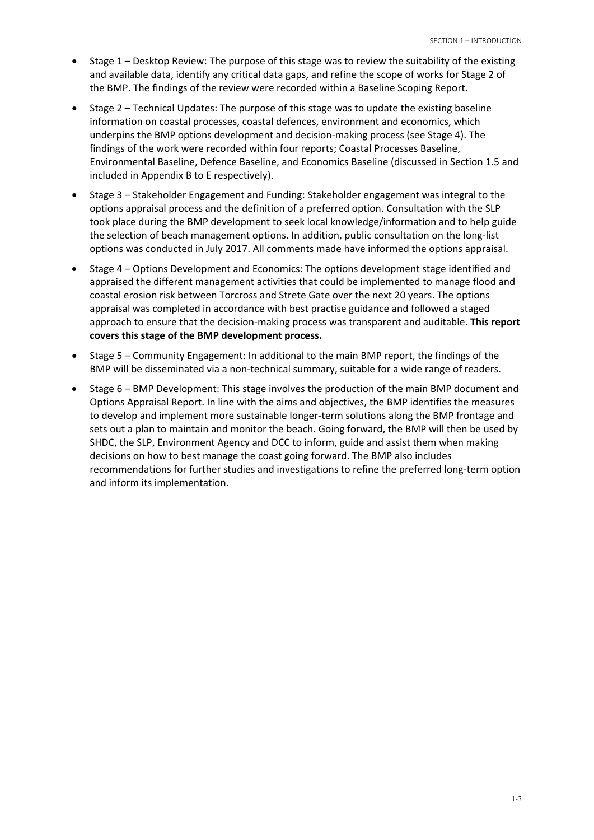- Stage 1 Desktop Review: The purpose of this stage was to review the suitability of the existing and available data, identify any critical data gaps, and refine the scope of works for Stage 2 of the BMP. The findings of the review were recorded within a Baseline Scoping Report.
- Stage 2 Technical Updates: The purpose of this stage was to update the existing baseline information on coastal processes, coastal defences, environment and economics, which underpins the BMP options development and decision‐making process (see Stage 4). The findings of the work were recorded within four reports; Coastal Processes Baseline, Environmental Baseline, Defence Baseline, and Economics Baseline (discussed in Section 1.5 and included in Appendix B to E respectively).
- Stage 3 Stakeholder Engagement and Funding: Stakeholder engagement was integral to the options appraisal process and the definition of a preferred option. Consultation with the SLP took place during the BMP development to seek local knowledge/information and to help guide the selection of beach management options. In addition, public consultation on the long‐list options was conducted in July 2017. All comments made have informed the options appraisal.
- Stage 4 Options Development and Economics: The options development stage identified and appraised the different management activities that could be implemented to manage flood and coastal erosion risk between Torcross and Strete Gate over the next 20 years. The options appraisal was completed in accordance with best practise guidance and followed a staged approach to ensure that the decision‐making process was transparent and auditable. **This report covers this stage of the BMP development process.**
- Stage 5 Community Engagement: In additional to the main BMP report, the findings of the BMP will be disseminated via a non‐technical summary, suitable for a wide range of readers.
- Stage 6 BMP Development: This stage involves the production of the main BMP document and Options Appraisal Report. In line with the aims and objectives, the BMP identifies the measures to develop and implement more sustainable longer-term solutions along the BMP frontage and sets out a plan to maintain and monitor the beach. Going forward, the BMP will then be used by SHDC, the SLP, Environment Agency and DCC to inform, guide and assist them when making decisions on how to best manage the coast going forward. The BMP also includes recommendations for further studies and investigations to refine the preferred long‐term option and inform its implementation.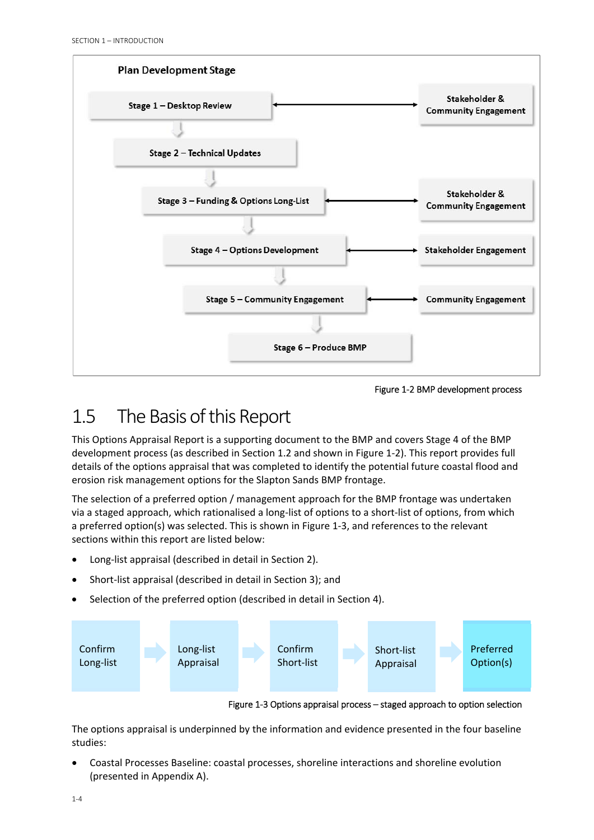

Figure 1‐2 BMP development process

## 1.5 The Basis of this Report

This Options Appraisal Report is a supporting document to the BMP and covers Stage 4 of the BMP development process (as described in Section 1.2 and shown in Figure 1‐2). This report provides full details of the options appraisal that was completed to identify the potential future coastal flood and erosion risk management options for the Slapton Sands BMP frontage.

The selection of a preferred option / management approach for the BMP frontage was undertaken via a staged approach, which rationalised a long‐list of options to a short‐list of options, from which a preferred option(s) was selected. This is shown in Figure 1‐3, and references to the relevant sections within this report are listed below:

- Long‐list appraisal (described in detail in Section 2).
- Short‐list appraisal (described in detail in Section 3); and
- Selection of the preferred option (described in detail in Section 4).



Figure 1‐3 Options appraisal process – staged approach to option selection

The options appraisal is underpinned by the information and evidence presented in the four baseline studies:

 Coastal Processes Baseline: coastal processes, shoreline interactions and shoreline evolution (presented in Appendix A).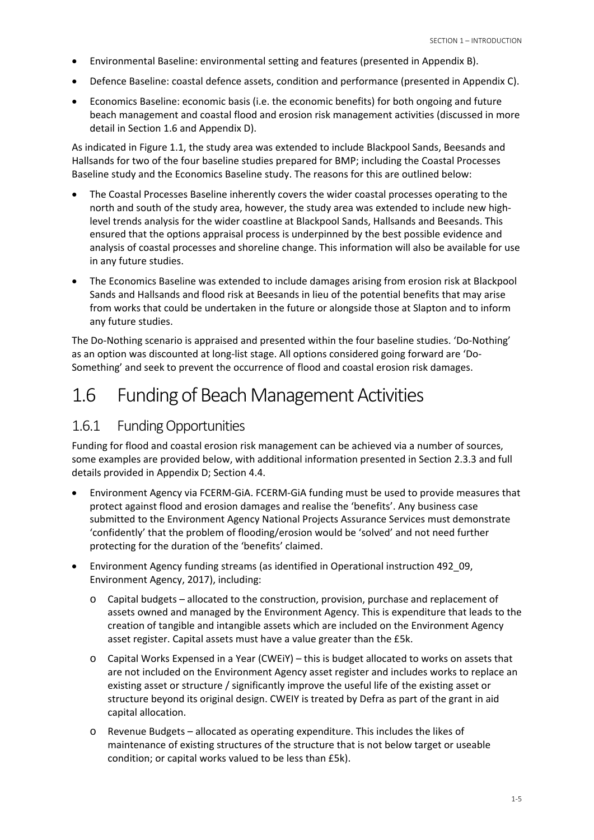- Environmental Baseline: environmental setting and features (presented in Appendix B).
- Defence Baseline: coastal defence assets, condition and performance (presented in Appendix C).
- Economics Baseline: economic basis (i.e. the economic benefits) for both ongoing and future beach management and coastal flood and erosion risk management activities (discussed in more detail in Section 1.6 and Appendix D).

As indicated in Figure 1.1, the study area was extended to include Blackpool Sands, Beesands and Hallsands for two of the four baseline studies prepared for BMP; including the Coastal Processes Baseline study and the Economics Baseline study. The reasons for this are outlined below:

- The Coastal Processes Baseline inherently covers the wider coastal processes operating to the north and south of the study area, however, the study area was extended to include new highlevel trends analysis for the wider coastline at Blackpool Sands, Hallsands and Beesands. This ensured that the options appraisal process is underpinned by the best possible evidence and analysis of coastal processes and shoreline change. This information will also be available for use in any future studies.
- The Economics Baseline was extended to include damages arising from erosion risk at Blackpool Sands and Hallsands and flood risk at Beesands in lieu of the potential benefits that may arise from works that could be undertaken in the future or alongside those at Slapton and to inform any future studies.

The Do‐Nothing scenario is appraised and presented within the four baseline studies. 'Do‐Nothing' as an option was discounted at long‐list stage. All options considered going forward are 'Do‐ Something' and seek to prevent the occurrence of flood and coastal erosion risk damages.

## 1.6 Funding of Beach Management Activities

### 1.6.1 Funding Opportunities

Funding for flood and coastal erosion risk management can be achieved via a number of sources, some examples are provided below, with additional information presented in Section 2.3.3 and full details provided in Appendix D; Section 4.4.

- Environment Agency via FCERM‐GiA. FCERM‐GiA funding must be used to provide measures that protect against flood and erosion damages and realise the 'benefits'. Any business case submitted to the Environment Agency National Projects Assurance Services must demonstrate 'confidently' that the problem of flooding/erosion would be 'solved' and not need further protecting for the duration of the 'benefits' claimed.
- Environment Agency funding streams (as identified in Operational instruction 492\_09, Environment Agency, 2017), including:
	- o Capital budgets allocated to the construction, provision, purchase and replacement of assets owned and managed by the Environment Agency. This is expenditure that leads to the creation of tangible and intangible assets which are included on the Environment Agency asset register. Capital assets must have a value greater than the £5k.
	- o Capital Works Expensed in a Year (CWEiY) this is budget allocated to works on assets that are not included on the Environment Agency asset register and includes works to replace an existing asset or structure / significantly improve the useful life of the existing asset or structure beyond its original design. CWEIY is treated by Defra as part of the grant in aid capital allocation.
	- o Revenue Budgets allocated as operating expenditure. This includes the likes of maintenance of existing structures of the structure that is not below target or useable condition; or capital works valued to be less than £5k).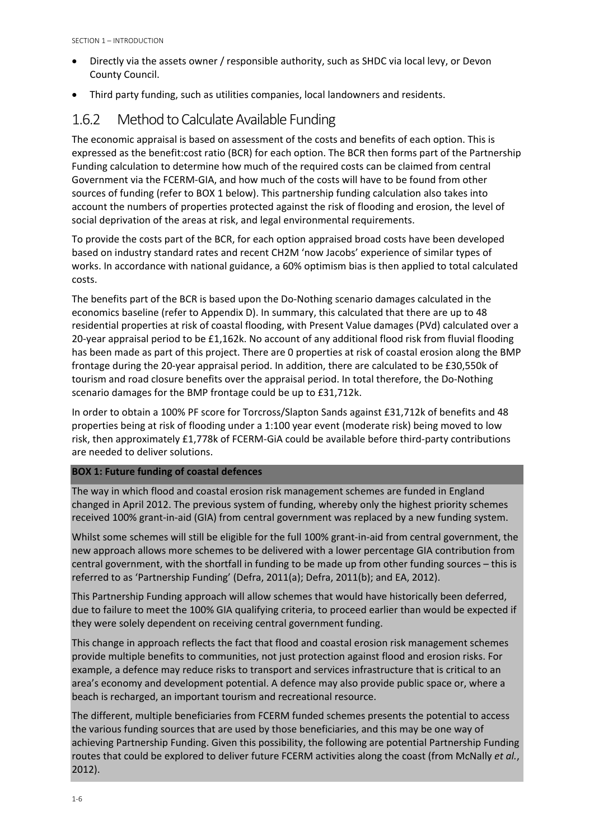- Directly via the assets owner / responsible authority, such as SHDC via local levy, or Devon County Council.
- Third party funding, such as utilities companies, local landowners and residents.

## 1.6.2 Method to Calculate Available Funding

The economic appraisal is based on assessment of the costs and benefits of each option. This is expressed as the benefit:cost ratio (BCR) for each option. The BCR then forms part of the Partnership Funding calculation to determine how much of the required costs can be claimed from central Government via the FCERM‐GIA, and how much of the costs will have to be found from other sources of funding (refer to BOX 1 below). This partnership funding calculation also takes into account the numbers of properties protected against the risk of flooding and erosion, the level of social deprivation of the areas at risk, and legal environmental requirements.

To provide the costs part of the BCR, for each option appraised broad costs have been developed based on industry standard rates and recent CH2M 'now Jacobs' experience of similar types of works. In accordance with national guidance, a 60% optimism bias is then applied to total calculated costs.

The benefits part of the BCR is based upon the Do‐Nothing scenario damages calculated in the economics baseline (refer to Appendix D). In summary, this calculated that there are up to 48 residential properties at risk of coastal flooding, with Present Value damages (PVd) calculated over a 20‐year appraisal period to be £1,162k. No account of any additional flood risk from fluvial flooding has been made as part of this project. There are 0 properties at risk of coastal erosion along the BMP frontage during the 20‐year appraisal period. In addition, there are calculated to be £30,550k of tourism and road closure benefits over the appraisal period. In total therefore, the Do‐Nothing scenario damages for the BMP frontage could be up to £31,712k.

In order to obtain a 100% PF score for Torcross/Slapton Sands against £31,712k of benefits and 48 properties being at risk of flooding under a 1:100 year event (moderate risk) being moved to low risk, then approximately £1,778k of FCERM‐GiA could be available before third‐party contributions are needed to deliver solutions.

#### **BOX 1: Future funding of coastal defences**

The way in which flood and coastal erosion risk management schemes are funded in England changed in April 2012. The previous system of funding, whereby only the highest priority schemes received 100% grant-in-aid (GIA) from central government was replaced by a new funding system.

Whilst some schemes will still be eligible for the full 100% grant-in-aid from central government, the new approach allows more schemes to be delivered with a lower percentage GIA contribution from central government, with the shortfall in funding to be made up from other funding sources – this is referred to as 'Partnership Funding' (Defra, 2011(a); Defra, 2011(b); and EA, 2012).

This Partnership Funding approach will allow schemes that would have historically been deferred, due to failure to meet the 100% GIA qualifying criteria, to proceed earlier than would be expected if they were solely dependent on receiving central government funding.

This change in approach reflects the fact that flood and coastal erosion risk management schemes provide multiple benefits to communities, not just protection against flood and erosion risks. For example, a defence may reduce risks to transport and services infrastructure that is critical to an area's economy and development potential. A defence may also provide public space or, where a beach is recharged, an important tourism and recreational resource.

The different, multiple beneficiaries from FCERM funded schemes presents the potential to access the various funding sources that are used by those beneficiaries, and this may be one way of achieving Partnership Funding. Given this possibility, the following are potential Partnership Funding routes that could be explored to deliver future FCERM activities along the coast (from McNally *et al.*, 2012).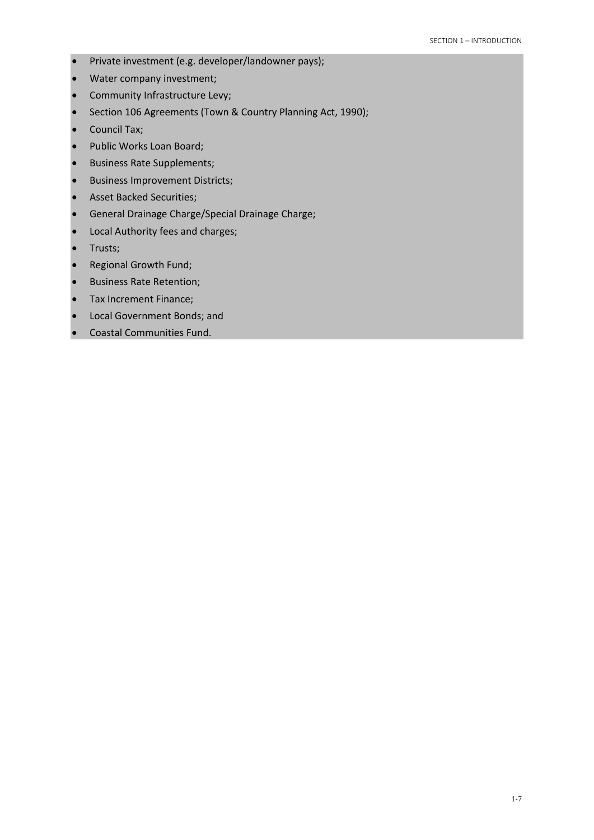- Private investment (e.g. developer/landowner pays);
- Water company investment;
- Community Infrastructure Levy;
- Section 106 Agreements (Town & Country Planning Act, 1990);
- Council Tax;
- Public Works Loan Board;
- **•** Business Rate Supplements;
- Business Improvement Districts;
- Asset Backed Securities;
- General Drainage Charge/Special Drainage Charge;
- Local Authority fees and charges;
- Trusts;
- Regional Growth Fund;
- Business Rate Retention;
- Tax Increment Finance;
- Local Government Bonds; and
- Coastal Communities Fund.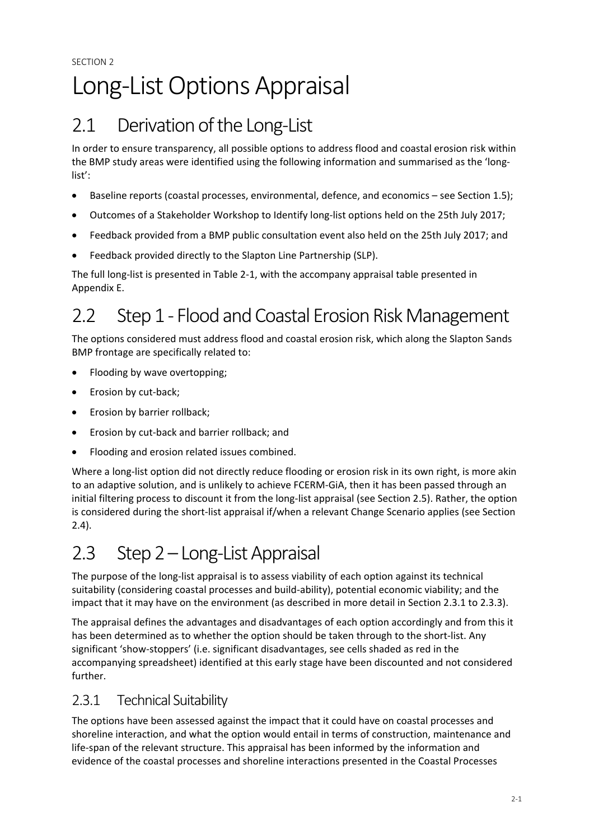# Long-List Options Appraisal

# 2.1 Derivation of the Long-List

In order to ensure transparency, all possible options to address flood and coastal erosion risk within the BMP study areas were identified using the following information and summarised as the 'long‐ list':

- Baseline reports (coastal processes, environmental, defence, and economics see Section 1.5);
- Outcomes of a Stakeholder Workshop to Identify long‐list options held on the 25th July 2017;
- Feedback provided from a BMP public consultation event also held on the 25th July 2017; and
- Feedback provided directly to the Slapton Line Partnership (SLP).

The full long-list is presented in Table 2-1, with the accompany appraisal table presented in Appendix E.

# 2.2 Step 1 - Flood and Coastal Erosion Risk Management

The options considered must address flood and coastal erosion risk, which along the Slapton Sands BMP frontage are specifically related to:

- Flooding by wave overtopping;
- Erosion by cut-back;
- **•** Erosion by barrier rollback;
- Erosion by cut‐back and barrier rollback; and
- Flooding and erosion related issues combined.

Where a long-list option did not directly reduce flooding or erosion risk in its own right, is more akin to an adaptive solution, and is unlikely to achieve FCERM-GiA, then it has been passed through an initial filtering process to discount it from the long‐list appraisal (see Section 2.5). Rather, the option is considered during the short‐list appraisal if/when a relevant Change Scenario applies (see Section 2.4).

# 2.3 Step 2 – Long-List Appraisal

The purpose of the long‐list appraisal is to assess viability of each option against its technical suitability (considering coastal processes and build‐ability), potential economic viability; and the impact that it may have on the environment (as described in more detail in Section 2.3.1 to 2.3.3).

The appraisal defines the advantages and disadvantages of each option accordingly and from this it has been determined as to whether the option should be taken through to the short-list. Any significant 'show‐stoppers' (i.e. significant disadvantages, see cells shaded as red in the accompanying spreadsheet) identified at this early stage have been discounted and not considered further.

#### 2.3.1 Technical Suitability

The options have been assessed against the impact that it could have on coastal processes and shoreline interaction, and what the option would entail in terms of construction, maintenance and life‐span of the relevant structure. This appraisal has been informed by the information and evidence of the coastal processes and shoreline interactions presented in the Coastal Processes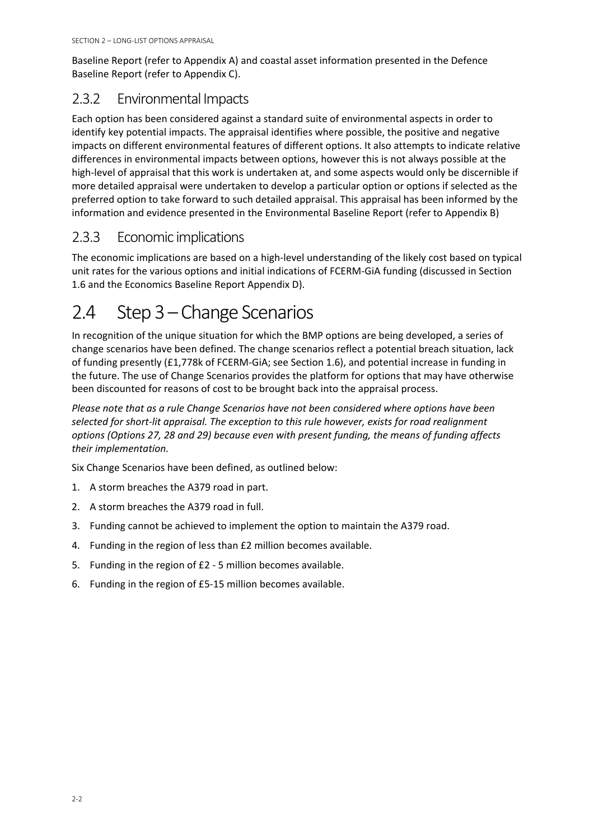Baseline Report (refer to Appendix A) and coastal asset information presented in the Defence Baseline Report (refer to Appendix C).

## 2.3.2 Environmental Impacts

Each option has been considered against a standard suite of environmental aspects in order to identify key potential impacts. The appraisal identifies where possible, the positive and negative impacts on different environmental features of different options. It also attempts to indicate relative differences in environmental impacts between options, however this is not always possible at the high-level of appraisal that this work is undertaken at, and some aspects would only be discernible if more detailed appraisal were undertaken to develop a particular option or options if selected as the preferred option to take forward to such detailed appraisal. This appraisal has been informed by the information and evidence presented in the Environmental Baseline Report (refer to Appendix B)

## 2.3.3 Economic implications

The economic implications are based on a high-level understanding of the likely cost based on typical unit rates for the various options and initial indications of FCERM‐GiA funding (discussed in Section 1.6 and the Economics Baseline Report Appendix D).

# 2.4 Step3 –Change Scenarios

In recognition of the unique situation for which the BMP options are being developed, a series of change scenarios have been defined. The change scenarios reflect a potential breach situation, lack of funding presently (£1,778k of FCERM‐GiA; see Section 1.6), and potential increase in funding in the future. The use of Change Scenarios provides the platform for options that may have otherwise been discounted for reasons of cost to be brought back into the appraisal process.

*Please note that as a rule Change Scenarios have not been considered where options have been selected for short‐lit appraisal. The exception to this rule however, exists for road realignment options (Options 27, 28 and 29) because even with present funding, the means of funding affects their implementation.* 

Six Change Scenarios have been defined, as outlined below:

- 1. A storm breaches the A379 road in part.
- 2. A storm breaches the A379 road in full.
- 3. Funding cannot be achieved to implement the option to maintain the A379 road.
- 4. Funding in the region of less than £2 million becomes available.
- 5. Funding in the region of £2 ‐ 5 million becomes available.
- 6. Funding in the region of £5‐15 million becomes available.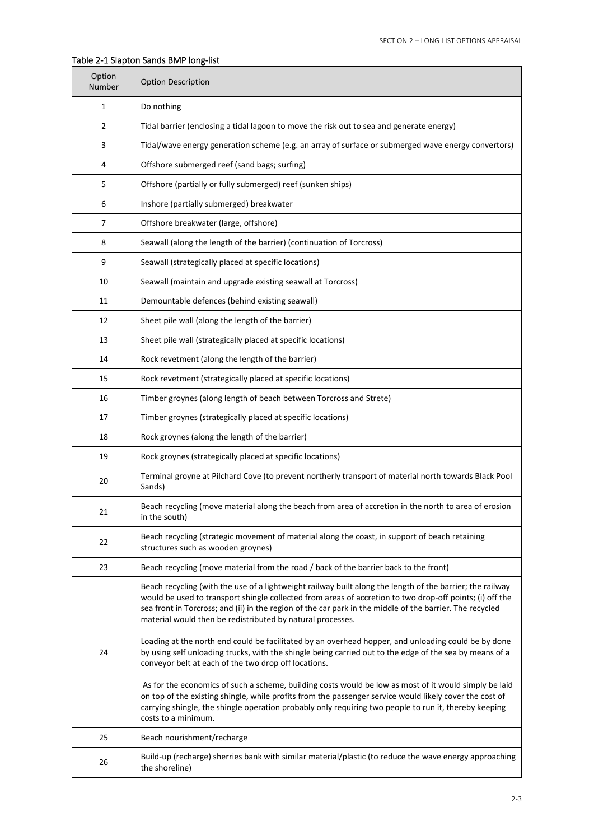| Option<br>Number | <b>Option Description</b>                                                                                                                                                                                                                                                                                                                                                                       |
|------------------|-------------------------------------------------------------------------------------------------------------------------------------------------------------------------------------------------------------------------------------------------------------------------------------------------------------------------------------------------------------------------------------------------|
| 1                | Do nothing                                                                                                                                                                                                                                                                                                                                                                                      |
| 2                | Tidal barrier (enclosing a tidal lagoon to move the risk out to sea and generate energy)                                                                                                                                                                                                                                                                                                        |
| 3                | Tidal/wave energy generation scheme (e.g. an array of surface or submerged wave energy convertors)                                                                                                                                                                                                                                                                                              |
| 4                | Offshore submerged reef (sand bags; surfing)                                                                                                                                                                                                                                                                                                                                                    |
| 5                | Offshore (partially or fully submerged) reef (sunken ships)                                                                                                                                                                                                                                                                                                                                     |
| 6                | Inshore (partially submerged) breakwater                                                                                                                                                                                                                                                                                                                                                        |
| 7                | Offshore breakwater (large, offshore)                                                                                                                                                                                                                                                                                                                                                           |
| 8                | Seawall (along the length of the barrier) (continuation of Torcross)                                                                                                                                                                                                                                                                                                                            |
| 9                | Seawall (strategically placed at specific locations)                                                                                                                                                                                                                                                                                                                                            |
| 10               | Seawall (maintain and upgrade existing seawall at Torcross)                                                                                                                                                                                                                                                                                                                                     |
| 11               | Demountable defences (behind existing seawall)                                                                                                                                                                                                                                                                                                                                                  |
| 12               | Sheet pile wall (along the length of the barrier)                                                                                                                                                                                                                                                                                                                                               |
| 13               | Sheet pile wall (strategically placed at specific locations)                                                                                                                                                                                                                                                                                                                                    |
| 14               | Rock revetment (along the length of the barrier)                                                                                                                                                                                                                                                                                                                                                |
| 15               | Rock revetment (strategically placed at specific locations)                                                                                                                                                                                                                                                                                                                                     |
| 16               | Timber groynes (along length of beach between Torcross and Strete)                                                                                                                                                                                                                                                                                                                              |
| 17               | Timber groynes (strategically placed at specific locations)                                                                                                                                                                                                                                                                                                                                     |
| 18               | Rock groynes (along the length of the barrier)                                                                                                                                                                                                                                                                                                                                                  |
| 19               | Rock groynes (strategically placed at specific locations)                                                                                                                                                                                                                                                                                                                                       |
| 20               | Terminal groyne at Pilchard Cove (to prevent northerly transport of material north towards Black Pool<br>Sands)                                                                                                                                                                                                                                                                                 |
| 21               | Beach recycling (move material along the beach from area of accretion in the north to area of erosion<br>in the south)                                                                                                                                                                                                                                                                          |
| 22               | Beach recycling (strategic movement of material along the coast, in support of beach retaining<br>structures such as wooden groynes)                                                                                                                                                                                                                                                            |
| 23               | Beach recycling (move material from the road / back of the barrier back to the front)                                                                                                                                                                                                                                                                                                           |
|                  | Beach recycling (with the use of a lightweight railway built along the length of the barrier; the railway<br>would be used to transport shingle collected from areas of accretion to two drop-off points; (i) off the<br>sea front in Torcross; and (ii) in the region of the car park in the middle of the barrier. The recycled<br>material would then be redistributed by natural processes. |
| 24               | Loading at the north end could be facilitated by an overhead hopper, and unloading could be by done<br>by using self unloading trucks, with the shingle being carried out to the edge of the sea by means of a<br>conveyor belt at each of the two drop off locations.                                                                                                                          |
|                  | As for the economics of such a scheme, building costs would be low as most of it would simply be laid<br>on top of the existing shingle, while profits from the passenger service would likely cover the cost of<br>carrying shingle, the shingle operation probably only requiring two people to run it, thereby keeping<br>costs to a minimum.                                                |
| 25               | Beach nourishment/recharge                                                                                                                                                                                                                                                                                                                                                                      |
| 26               | Build-up (recharge) sherries bank with similar material/plastic (to reduce the wave energy approaching<br>the shoreline)                                                                                                                                                                                                                                                                        |

#### Table 2‐1 Slapton Sands BMP long‐list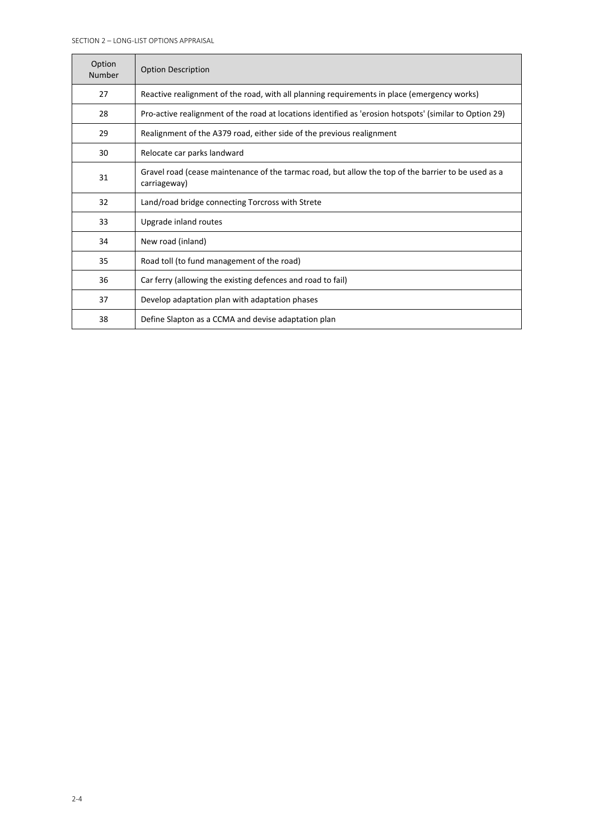SECTION 2 – LONG‐LIST OPTIONS APPRAISAL

| Option<br>Number | <b>Option Description</b>                                                                                           |
|------------------|---------------------------------------------------------------------------------------------------------------------|
| 27               | Reactive realignment of the road, with all planning requirements in place (emergency works)                         |
| 28               | Pro-active realignment of the road at locations identified as 'erosion hotspots' (similar to Option 29)             |
| 29               | Realignment of the A379 road, either side of the previous realignment                                               |
| 30               | Relocate car parks landward                                                                                         |
| 31               | Gravel road (cease maintenance of the tarmac road, but allow the top of the barrier to be used as a<br>carriageway) |
| 32               | Land/road bridge connecting Torcross with Strete                                                                    |
| 33               | Upgrade inland routes                                                                                               |
| 34               | New road (inland)                                                                                                   |
| 35               | Road toll (to fund management of the road)                                                                          |
| 36               | Car ferry (allowing the existing defences and road to fail)                                                         |
| 37               | Develop adaptation plan with adaptation phases                                                                      |
| 38               | Define Slapton as a CCMA and devise adaptation plan                                                                 |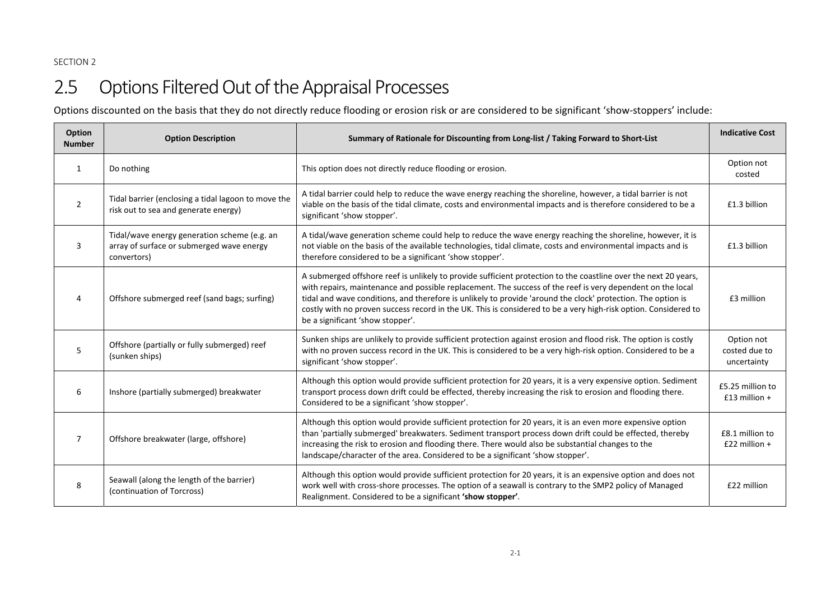#### 2.5Options Filtered Out of the Appraisal Processes

Options discounted on the basis that they do not directly reduce flooding or erosion risk or are considered to be significant 'show‐stoppers' include:

| Option<br><b>Number</b> | <b>Option Description</b>                                                                                | Summary of Rationale for Discounting from Long-list / Taking Forward to Short-List                                                                                                                                                                                                                                                                                                                                                                                                                   | <b>Indicative Cost</b>                     |
|-------------------------|----------------------------------------------------------------------------------------------------------|------------------------------------------------------------------------------------------------------------------------------------------------------------------------------------------------------------------------------------------------------------------------------------------------------------------------------------------------------------------------------------------------------------------------------------------------------------------------------------------------------|--------------------------------------------|
| $\mathbf{1}$            | Do nothing                                                                                               | This option does not directly reduce flooding or erosion.                                                                                                                                                                                                                                                                                                                                                                                                                                            | Option not<br>costed                       |
| $\overline{2}$          | Tidal barrier (enclosing a tidal lagoon to move the<br>risk out to sea and generate energy)              | A tidal barrier could help to reduce the wave energy reaching the shoreline, however, a tidal barrier is not<br>viable on the basis of the tidal climate, costs and environmental impacts and is therefore considered to be a<br>significant 'show stopper'.                                                                                                                                                                                                                                         | £1.3 billion                               |
| 3                       | Tidal/wave energy generation scheme (e.g. an<br>array of surface or submerged wave energy<br>convertors) | A tidal/wave generation scheme could help to reduce the wave energy reaching the shoreline, however, it is<br>not viable on the basis of the available technologies, tidal climate, costs and environmental impacts and is<br>therefore considered to be a significant 'show stopper'.                                                                                                                                                                                                               | £1.3 billion                               |
| 4                       | Offshore submerged reef (sand bags; surfing)                                                             | A submerged offshore reef is unlikely to provide sufficient protection to the coastline over the next 20 years,<br>with repairs, maintenance and possible replacement. The success of the reef is very dependent on the local<br>tidal and wave conditions, and therefore is unlikely to provide 'around the clock' protection. The option is<br>costly with no proven success record in the UK. This is considered to be a very high-risk option. Considered to<br>be a significant 'show stopper'. | £3 million                                 |
| 5                       | Offshore (partially or fully submerged) reef<br>(sunken ships)                                           | Sunken ships are unlikely to provide sufficient protection against erosion and flood risk. The option is costly<br>with no proven success record in the UK. This is considered to be a very high-risk option. Considered to be a<br>significant 'show stopper'.                                                                                                                                                                                                                                      | Option not<br>costed due to<br>uncertainty |
| 6                       | Inshore (partially submerged) breakwater                                                                 | Although this option would provide sufficient protection for 20 years, it is a very expensive option. Sediment<br>transport process down drift could be effected, thereby increasing the risk to erosion and flooding there.<br>Considered to be a significant 'show stopper'.                                                                                                                                                                                                                       | £5.25 million to<br>$£13$ million +        |
| 7                       | Offshore breakwater (large, offshore)                                                                    | Although this option would provide sufficient protection for 20 years, it is an even more expensive option<br>than 'partially submerged' breakwaters. Sediment transport process down drift could be effected, thereby<br>increasing the risk to erosion and flooding there. There would also be substantial changes to the<br>landscape/character of the area. Considered to be a significant 'show stopper'.                                                                                       | £8.1 million to<br>£22 million $+$         |
| 8                       | Seawall (along the length of the barrier)<br>(continuation of Torcross)                                  | Although this option would provide sufficient protection for 20 years, it is an expensive option and does not<br>work well with cross-shore processes. The option of a seawall is contrary to the SMP2 policy of Managed<br>Realignment. Considered to be a significant 'show stopper'.                                                                                                                                                                                                              | £22 million                                |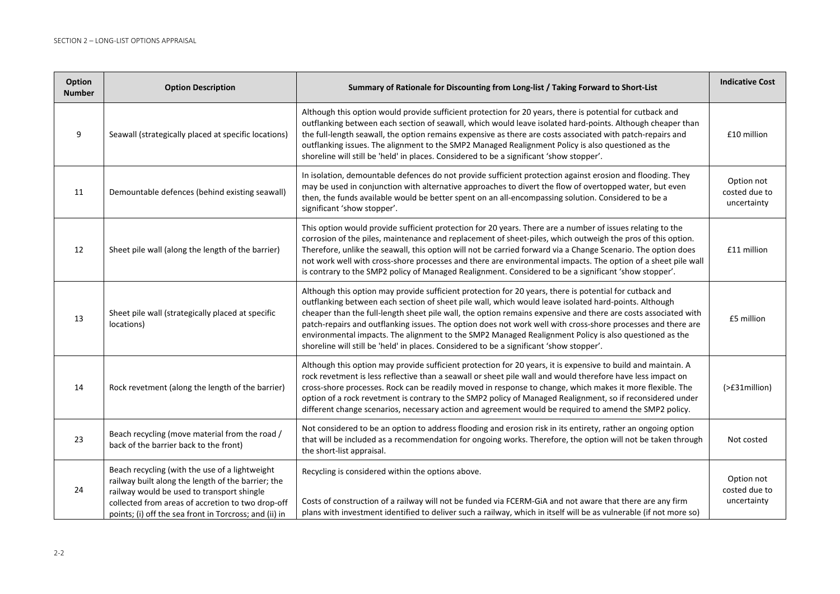| Option<br><b>Number</b> | <b>Option Description</b>                                                                                                                                                                                                                                         | Summary of Rationale for Discounting from Long-list / Taking Forward to Short-List                                                                                                                                                                                                                                                                                                                                                                                                                                                                                                                                                                      | <b>Indicative Cost</b>                     |
|-------------------------|-------------------------------------------------------------------------------------------------------------------------------------------------------------------------------------------------------------------------------------------------------------------|---------------------------------------------------------------------------------------------------------------------------------------------------------------------------------------------------------------------------------------------------------------------------------------------------------------------------------------------------------------------------------------------------------------------------------------------------------------------------------------------------------------------------------------------------------------------------------------------------------------------------------------------------------|--------------------------------------------|
| 9                       | Seawall (strategically placed at specific locations)                                                                                                                                                                                                              | Although this option would provide sufficient protection for 20 years, there is potential for cutback and<br>outflanking between each section of seawall, which would leave isolated hard-points. Although cheaper than<br>the full-length seawall, the option remains expensive as there are costs associated with patch-repairs and<br>outflanking issues. The alignment to the SMP2 Managed Realignment Policy is also questioned as the<br>shoreline will still be 'held' in places. Considered to be a significant 'show stopper'.                                                                                                                 | £10 million                                |
| 11                      | Demountable defences (behind existing seawall)                                                                                                                                                                                                                    | In isolation, demountable defences do not provide sufficient protection against erosion and flooding. They<br>may be used in conjunction with alternative approaches to divert the flow of overtopped water, but even<br>then, the funds available would be better spent on an all-encompassing solution. Considered to be a<br>significant 'show stopper'.                                                                                                                                                                                                                                                                                             | Option not<br>costed due to<br>uncertainty |
| 12                      | Sheet pile wall (along the length of the barrier)                                                                                                                                                                                                                 | This option would provide sufficient protection for 20 years. There are a number of issues relating to the<br>corrosion of the piles, maintenance and replacement of sheet-piles, which outweigh the pros of this option.<br>Therefore, unlike the seawall, this option will not be carried forward via a Change Scenario. The option does<br>not work well with cross-shore processes and there are environmental impacts. The option of a sheet pile wall<br>is contrary to the SMP2 policy of Managed Realignment. Considered to be a significant 'show stopper'.                                                                                    | £11 million                                |
| 13                      | Sheet pile wall (strategically placed at specific<br>locations)                                                                                                                                                                                                   | Although this option may provide sufficient protection for 20 years, there is potential for cutback and<br>outflanking between each section of sheet pile wall, which would leave isolated hard-points. Although<br>cheaper than the full-length sheet pile wall, the option remains expensive and there are costs associated with<br>patch-repairs and outflanking issues. The option does not work well with cross-shore processes and there are<br>environmental impacts. The alignment to the SMP2 Managed Realignment Policy is also questioned as the<br>shoreline will still be 'held' in places. Considered to be a significant 'show stopper'. | £5 million                                 |
| 14                      | Rock revetment (along the length of the barrier)                                                                                                                                                                                                                  | Although this option may provide sufficient protection for 20 years, it is expensive to build and maintain. A<br>rock revetment is less reflective than a seawall or sheet pile wall and would therefore have less impact on<br>cross-shore processes. Rock can be readily moved in response to change, which makes it more flexible. The<br>option of a rock revetment is contrary to the SMP2 policy of Managed Realignment, so if reconsidered under<br>different change scenarios, necessary action and agreement would be required to amend the SMP2 policy.                                                                                       | (>£31million)                              |
| 23                      | Beach recycling (move material from the road /<br>back of the barrier back to the front)                                                                                                                                                                          | Not considered to be an option to address flooding and erosion risk in its entirety, rather an ongoing option<br>that will be included as a recommendation for ongoing works. Therefore, the option will not be taken through<br>the short-list appraisal.                                                                                                                                                                                                                                                                                                                                                                                              | Not costed                                 |
| 24                      | Beach recycling (with the use of a lightweight<br>railway built along the length of the barrier; the<br>railway would be used to transport shingle<br>collected from areas of accretion to two drop-off<br>points; (i) off the sea front in Torcross; and (ii) in | Recycling is considered within the options above.<br>Costs of construction of a railway will not be funded via FCERM-GiA and not aware that there are any firm<br>plans with investment identified to deliver such a railway, which in itself will be as vulnerable (if not more so)                                                                                                                                                                                                                                                                                                                                                                    | Option not<br>costed due to<br>uncertainty |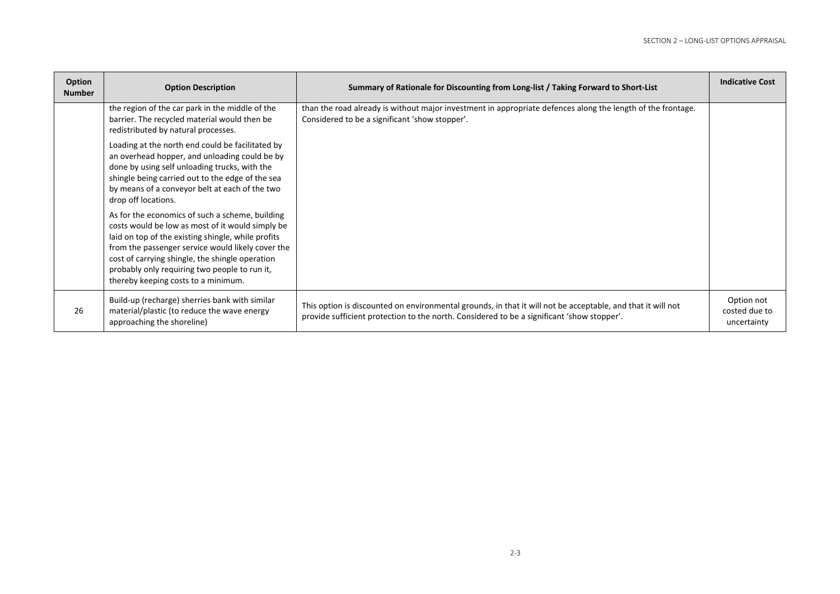| Option<br><b>Number</b> | <b>Option Description</b>                                                                                                                                                                                                                                                                                                                                 | Summary of Rationale for Discounting from Long-list / Taking Forward to Short-List                                                                                                                        | <b>Indicative Cost</b>                     |
|-------------------------|-----------------------------------------------------------------------------------------------------------------------------------------------------------------------------------------------------------------------------------------------------------------------------------------------------------------------------------------------------------|-----------------------------------------------------------------------------------------------------------------------------------------------------------------------------------------------------------|--------------------------------------------|
|                         | the region of the car park in the middle of the<br>barrier. The recycled material would then be<br>redistributed by natural processes.                                                                                                                                                                                                                    | than the road already is without major investment in appropriate defences along the length of the frontage.<br>Considered to be a significant 'show stopper'.                                             |                                            |
|                         | Loading at the north end could be facilitated by<br>an overhead hopper, and unloading could be by<br>done by using self unloading trucks, with the<br>shingle being carried out to the edge of the sea<br>by means of a conveyor belt at each of the two<br>drop off locations.                                                                           |                                                                                                                                                                                                           |                                            |
|                         | As for the economics of such a scheme, building<br>costs would be low as most of it would simply be<br>laid on top of the existing shingle, while profits<br>from the passenger service would likely cover the<br>cost of carrying shingle, the shingle operation<br>probably only requiring two people to run it,<br>thereby keeping costs to a minimum. |                                                                                                                                                                                                           |                                            |
| 26                      | Build-up (recharge) sherries bank with similar<br>material/plastic (to reduce the wave energy<br>approaching the shoreline)                                                                                                                                                                                                                               | This option is discounted on environmental grounds, in that it will not be acceptable, and that it will not<br>provide sufficient protection to the north. Considered to be a significant 'show stopper'. | Option not<br>costed due to<br>uncertainty |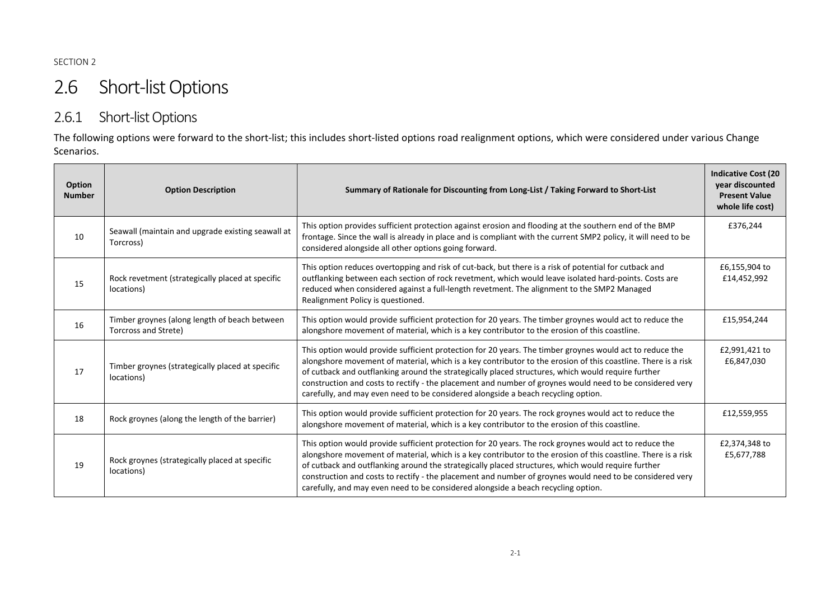#### 2.6Short-list Options

#### 2.6.1Short-list Options

The following options were forward to the short‐list; this includes short‐listed options road realignment options, which were considered under various Change Scenarios.

| Option<br><b>Number</b> | <b>Option Description</b>                                             | Summary of Rationale for Discounting from Long-List / Taking Forward to Short-List                                                                                                                                                                                                                                                                                                                                                                                                                                               | <b>Indicative Cost (20</b><br>vear discounted<br><b>Present Value</b><br>whole life cost) |
|-------------------------|-----------------------------------------------------------------------|----------------------------------------------------------------------------------------------------------------------------------------------------------------------------------------------------------------------------------------------------------------------------------------------------------------------------------------------------------------------------------------------------------------------------------------------------------------------------------------------------------------------------------|-------------------------------------------------------------------------------------------|
| 10                      | Seawall (maintain and upgrade existing seawall at<br>Torcross)        | This option provides sufficient protection against erosion and flooding at the southern end of the BMP<br>frontage. Since the wall is already in place and is compliant with the current SMP2 policy, it will need to be<br>considered alongside all other options going forward.                                                                                                                                                                                                                                                | £376,244                                                                                  |
| 15                      | Rock revetment (strategically placed at specific<br>locations)        | This option reduces overtopping and risk of cut-back, but there is a risk of potential for cutback and<br>outflanking between each section of rock revetment, which would leave isolated hard-points. Costs are<br>reduced when considered against a full-length revetment. The alignment to the SMP2 Managed<br>Realignment Policy is questioned.                                                                                                                                                                               | £6,155,904 to<br>£14,452,992                                                              |
| 16                      | Timber groynes (along length of beach between<br>Torcross and Strete) | This option would provide sufficient protection for 20 years. The timber groynes would act to reduce the<br>alongshore movement of material, which is a key contributor to the erosion of this coastline.                                                                                                                                                                                                                                                                                                                        | £15,954,244                                                                               |
| 17                      | Timber groynes (strategically placed at specific<br>locations)        | This option would provide sufficient protection for 20 years. The timber groynes would act to reduce the<br>alongshore movement of material, which is a key contributor to the erosion of this coastline. There is a risk<br>of cutback and outflanking around the strategically placed structures, which would require further<br>construction and costs to rectify - the placement and number of groynes would need to be considered very<br>carefully, and may even need to be considered alongside a beach recycling option. | £2,991,421 to<br>£6,847,030                                                               |
| 18                      | Rock groynes (along the length of the barrier)                        | This option would provide sufficient protection for 20 years. The rock groynes would act to reduce the<br>alongshore movement of material, which is a key contributor to the erosion of this coastline.                                                                                                                                                                                                                                                                                                                          | £12,559,955                                                                               |
| 19                      | Rock groynes (strategically placed at specific<br>locations)          | This option would provide sufficient protection for 20 years. The rock groynes would act to reduce the<br>alongshore movement of material, which is a key contributor to the erosion of this coastline. There is a risk<br>of cutback and outflanking around the strategically placed structures, which would require further<br>construction and costs to rectify - the placement and number of groynes would need to be considered very<br>carefully, and may even need to be considered alongside a beach recycling option.   | £2,374,348 to<br>£5,677,788                                                               |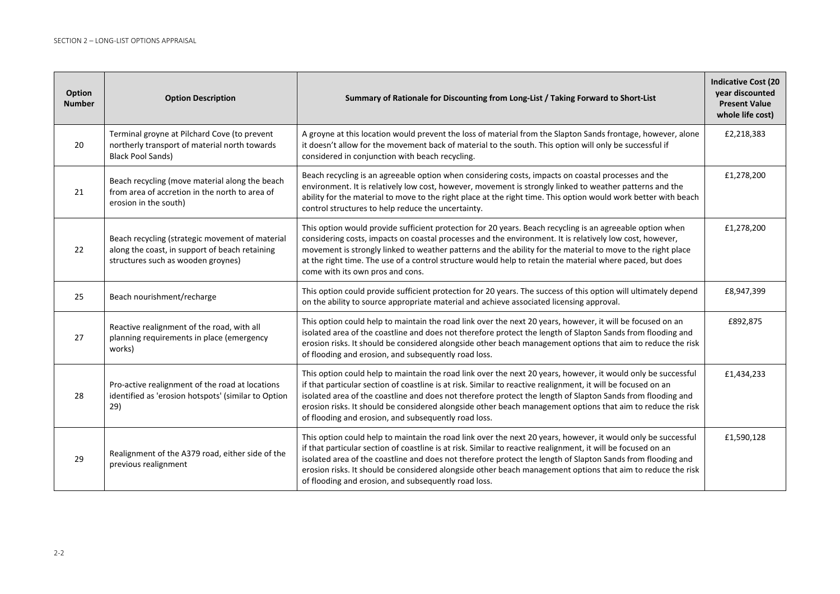| Option<br><b>Number</b> | <b>Option Description</b>                                                                                                               | Summary of Rationale for Discounting from Long-List / Taking Forward to Short-List                                                                                                                                                                                                                                                                                                                                                                                                                                   | <b>Indicative Cost (20</b><br>year discounted<br><b>Present Value</b><br>whole life cost) |
|-------------------------|-----------------------------------------------------------------------------------------------------------------------------------------|----------------------------------------------------------------------------------------------------------------------------------------------------------------------------------------------------------------------------------------------------------------------------------------------------------------------------------------------------------------------------------------------------------------------------------------------------------------------------------------------------------------------|-------------------------------------------------------------------------------------------|
| 20                      | Terminal groyne at Pilchard Cove (to prevent<br>northerly transport of material north towards<br><b>Black Pool Sands)</b>               | A groyne at this location would prevent the loss of material from the Slapton Sands frontage, however, alone<br>it doesn't allow for the movement back of material to the south. This option will only be successful if<br>considered in conjunction with beach recycling.                                                                                                                                                                                                                                           | £2,218,383                                                                                |
| 21                      | Beach recycling (move material along the beach<br>from area of accretion in the north to area of<br>erosion in the south)               | Beach recycling is an agreeable option when considering costs, impacts on coastal processes and the<br>environment. It is relatively low cost, however, movement is strongly linked to weather patterns and the<br>ability for the material to move to the right place at the right time. This option would work better with beach<br>control structures to help reduce the uncertainty.                                                                                                                             | £1,278,200                                                                                |
| 22                      | Beach recycling (strategic movement of material<br>along the coast, in support of beach retaining<br>structures such as wooden groynes) | This option would provide sufficient protection for 20 years. Beach recycling is an agreeable option when<br>considering costs, impacts on coastal processes and the environment. It is relatively low cost, however,<br>movement is strongly linked to weather patterns and the ability for the material to move to the right place<br>at the right time. The use of a control structure would help to retain the material where paced, but does<br>come with its own pros and cons.                                | £1,278,200                                                                                |
| 25                      | Beach nourishment/recharge                                                                                                              | This option could provide sufficient protection for 20 years. The success of this option will ultimately depend<br>on the ability to source appropriate material and achieve associated licensing approval.                                                                                                                                                                                                                                                                                                          | £8,947,399                                                                                |
| 27                      | Reactive realignment of the road, with all<br>planning requirements in place (emergency<br>works)                                       | This option could help to maintain the road link over the next 20 years, however, it will be focused on an<br>isolated area of the coastline and does not therefore protect the length of Slapton Sands from flooding and<br>erosion risks. It should be considered alongside other beach management options that aim to reduce the risk<br>of flooding and erosion, and subsequently road loss.                                                                                                                     | £892,875                                                                                  |
| 28                      | Pro-active realignment of the road at locations<br>identified as 'erosion hotspots' (similar to Option<br>29)                           | This option could help to maintain the road link over the next 20 years, however, it would only be successful<br>if that particular section of coastline is at risk. Similar to reactive realignment, it will be focused on an<br>isolated area of the coastline and does not therefore protect the length of Slapton Sands from flooding and<br>erosion risks. It should be considered alongside other beach management options that aim to reduce the risk<br>of flooding and erosion, and subsequently road loss. | £1,434,233                                                                                |
| 29                      | Realignment of the A379 road, either side of the<br>previous realignment                                                                | This option could help to maintain the road link over the next 20 years, however, it would only be successful<br>if that particular section of coastline is at risk. Similar to reactive realignment, it will be focused on an<br>isolated area of the coastline and does not therefore protect the length of Slapton Sands from flooding and<br>erosion risks. It should be considered alongside other beach management options that aim to reduce the risk<br>of flooding and erosion, and subsequently road loss. | £1,590,128                                                                                |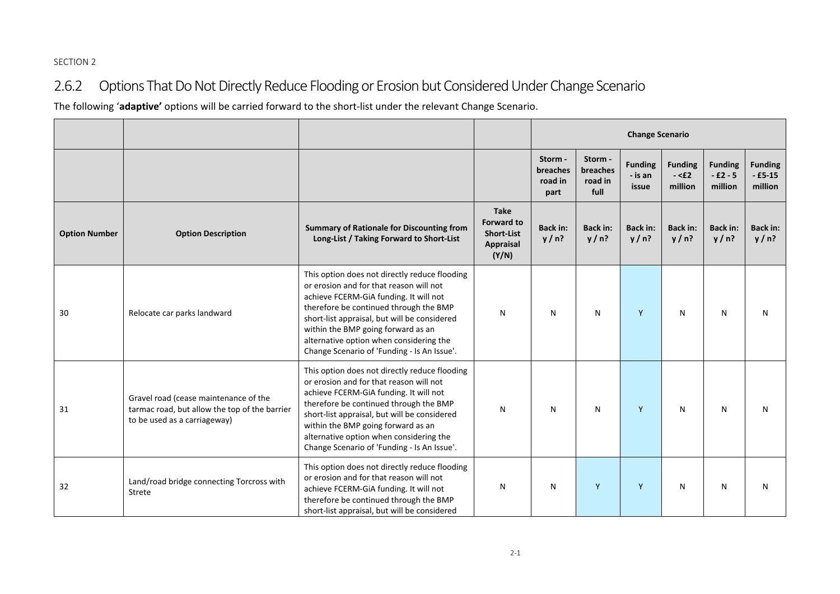#### 2.6.2Options That Do Not Directly Reduce Flooding or Erosion but Considered Under Change Scenario

The following '**adaptive'** options will be carried forward to the short‐list under the relevant Change Scenario.

|                      |                                                                                                                        |                                                                                                                                                                                                                                                                                                                                                              |                                                                                    | <b>Change Scenario</b>                 |                                        |                                    |                                     |                                      |                                       |
|----------------------|------------------------------------------------------------------------------------------------------------------------|--------------------------------------------------------------------------------------------------------------------------------------------------------------------------------------------------------------------------------------------------------------------------------------------------------------------------------------------------------------|------------------------------------------------------------------------------------|----------------------------------------|----------------------------------------|------------------------------------|-------------------------------------|--------------------------------------|---------------------------------------|
|                      |                                                                                                                        |                                                                                                                                                                                                                                                                                                                                                              |                                                                                    | Storm -<br>breaches<br>road in<br>part | Storm -<br>breaches<br>road in<br>full | <b>Funding</b><br>- is an<br>issue | <b>Funding</b><br>$- E2$<br>million | <b>Funding</b><br>$-E2-5$<br>million | <b>Funding</b><br>$-£5-15$<br>million |
| <b>Option Number</b> | <b>Option Description</b>                                                                                              | <b>Summary of Rationale for Discounting from</b><br>Long-List / Taking Forward to Short-List                                                                                                                                                                                                                                                                 | <b>Take</b><br><b>Forward to</b><br><b>Short-List</b><br><b>Appraisal</b><br>(Y/N) | <b>Back in:</b><br>y/n?                | <b>Back in:</b><br>y/n?                | <b>Back in:</b><br>y/n?            | <b>Back in:</b><br>y/n?             | <b>Back in:</b><br>y/n?              | <b>Back in:</b><br>y/n?               |
| 30                   | Relocate car parks landward                                                                                            | This option does not directly reduce flooding<br>or erosion and for that reason will not<br>achieve FCERM-GiA funding. It will not<br>therefore be continued through the BMP<br>short-list appraisal, but will be considered<br>within the BMP going forward as an<br>alternative option when considering the<br>Change Scenario of 'Funding - Is An Issue'. | N                                                                                  | N                                      | N                                      | Y                                  | N                                   | N                                    | N                                     |
| 31                   | Gravel road (cease maintenance of the<br>tarmac road, but allow the top of the barrier<br>to be used as a carriageway) | This option does not directly reduce flooding<br>or erosion and for that reason will not<br>achieve FCERM-GiA funding. It will not<br>therefore be continued through the BMP<br>short-list appraisal, but will be considered<br>within the BMP going forward as an<br>alternative option when considering the<br>Change Scenario of 'Funding - Is An Issue'. | N                                                                                  | N                                      | N                                      | Y                                  | N                                   | N                                    | N                                     |
| 32                   | Land/road bridge connecting Torcross with<br>Strete                                                                    | This option does not directly reduce flooding<br>or erosion and for that reason will not<br>achieve FCERM-GiA funding. It will not<br>therefore be continued through the BMP<br>short-list appraisal, but will be considered                                                                                                                                 | N                                                                                  | N                                      | Y                                      | Y                                  | N                                   | N                                    | N                                     |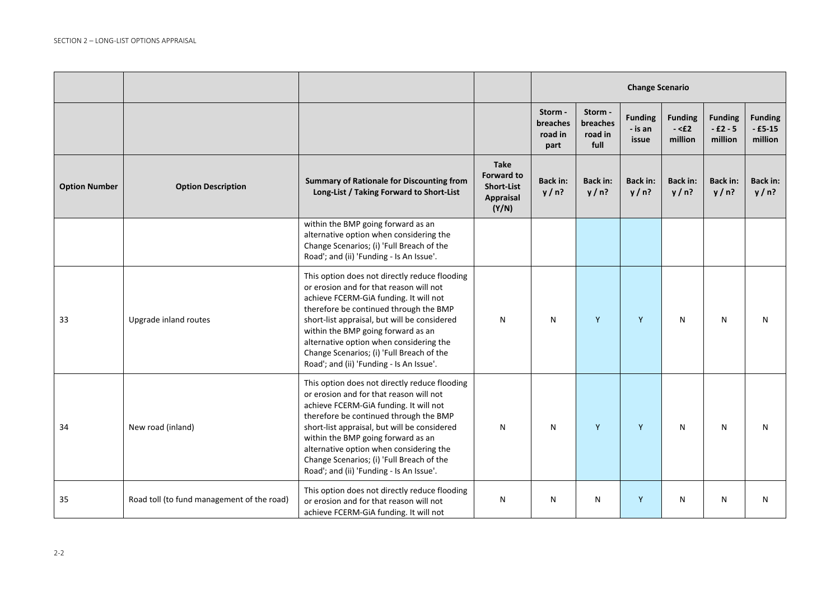|                      |                                            |                                                                                                                                                                                                                                                                                                                                                                                                        |                                                                             |                                        |                                        | <b>Change Scenario</b>             |                                     |                                      |                                       |
|----------------------|--------------------------------------------|--------------------------------------------------------------------------------------------------------------------------------------------------------------------------------------------------------------------------------------------------------------------------------------------------------------------------------------------------------------------------------------------------------|-----------------------------------------------------------------------------|----------------------------------------|----------------------------------------|------------------------------------|-------------------------------------|--------------------------------------|---------------------------------------|
|                      |                                            |                                                                                                                                                                                                                                                                                                                                                                                                        |                                                                             | Storm -<br>breaches<br>road in<br>part | Storm -<br>breaches<br>road in<br>full | <b>Funding</b><br>- is an<br>issue | <b>Funding</b><br>$- E2$<br>million | <b>Funding</b><br>$-E2-5$<br>million | <b>Funding</b><br>$-£5-15$<br>million |
| <b>Option Number</b> | <b>Option Description</b>                  | <b>Summary of Rationale for Discounting from</b><br>Long-List / Taking Forward to Short-List                                                                                                                                                                                                                                                                                                           | <b>Take</b><br><b>Forward to</b><br><b>Short-List</b><br>Appraisal<br>(Y/N) | <b>Back in:</b><br>y/n?                | <b>Back in:</b><br>y/n?                | <b>Back in:</b><br>y/n?            | <b>Back in:</b><br>y/n?             | <b>Back in:</b><br>y/n?              | <b>Back in:</b><br>y/n?               |
|                      |                                            | within the BMP going forward as an<br>alternative option when considering the<br>Change Scenarios; (i) 'Full Breach of the<br>Road'; and (ii) 'Funding - Is An Issue'.                                                                                                                                                                                                                                 |                                                                             |                                        |                                        |                                    |                                     |                                      |                                       |
| 33                   | Upgrade inland routes                      | This option does not directly reduce flooding<br>or erosion and for that reason will not<br>achieve FCERM-GiA funding. It will not<br>therefore be continued through the BMP<br>short-list appraisal, but will be considered<br>within the BMP going forward as an<br>alternative option when considering the<br>Change Scenarios; (i) 'Full Breach of the<br>Road'; and (ii) 'Funding - Is An Issue'. | N                                                                           | N                                      | Y                                      | Y                                  | N                                   | N                                    | N                                     |
| 34                   | New road (inland)                          | This option does not directly reduce flooding<br>or erosion and for that reason will not<br>achieve FCERM-GiA funding. It will not<br>therefore be continued through the BMP<br>short-list appraisal, but will be considered<br>within the BMP going forward as an<br>alternative option when considering the<br>Change Scenarios; (i) 'Full Breach of the<br>Road'; and (ii) 'Funding - Is An Issue'. | N                                                                           | N                                      | Y                                      | Y                                  | N                                   | N                                    | N                                     |
| 35                   | Road toll (to fund management of the road) | This option does not directly reduce flooding<br>or erosion and for that reason will not<br>achieve FCERM-GiA funding. It will not                                                                                                                                                                                                                                                                     | N                                                                           | N                                      | N                                      | Y                                  | N                                   | N                                    | N                                     |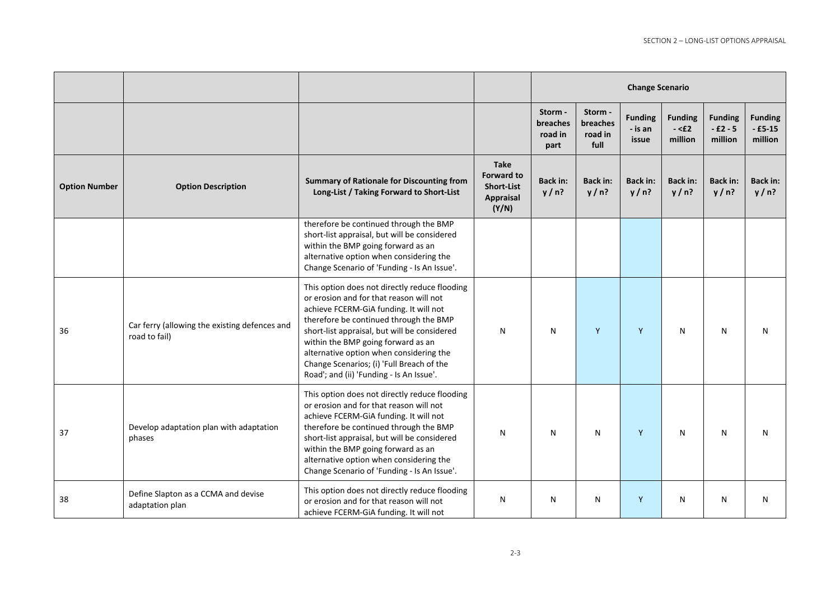|                      |                                                                |                                                                                                                                                                                                                                                                                                                                                                                                        |                                                                                    |                                        |                                        | <b>Change Scenario</b>             |                                       |                                      |                                       |
|----------------------|----------------------------------------------------------------|--------------------------------------------------------------------------------------------------------------------------------------------------------------------------------------------------------------------------------------------------------------------------------------------------------------------------------------------------------------------------------------------------------|------------------------------------------------------------------------------------|----------------------------------------|----------------------------------------|------------------------------------|---------------------------------------|--------------------------------------|---------------------------------------|
|                      |                                                                |                                                                                                                                                                                                                                                                                                                                                                                                        |                                                                                    | Storm -<br>breaches<br>road in<br>part | Storm ·<br>breaches<br>road in<br>full | <b>Funding</b><br>- is an<br>issue | <b>Funding</b><br>$- < f2$<br>million | <b>Funding</b><br>$-E2-5$<br>million | <b>Funding</b><br>$-£5-15$<br>million |
| <b>Option Number</b> | <b>Option Description</b>                                      | <b>Summary of Rationale for Discounting from</b><br>Long-List / Taking Forward to Short-List                                                                                                                                                                                                                                                                                                           | <b>Take</b><br><b>Forward to</b><br><b>Short-List</b><br><b>Appraisal</b><br>(Y/N) | <b>Back in:</b><br>y/n?                | <b>Back in:</b><br>y/n?                | <b>Back in:</b><br>y/n?            | <b>Back in:</b><br>y/n?               | <b>Back in:</b><br>y/n?              | <b>Back in:</b><br>y/n?               |
|                      |                                                                | therefore be continued through the BMP<br>short-list appraisal, but will be considered<br>within the BMP going forward as an<br>alternative option when considering the<br>Change Scenario of 'Funding - Is An Issue'.                                                                                                                                                                                 |                                                                                    |                                        |                                        |                                    |                                       |                                      |                                       |
| 36                   | Car ferry (allowing the existing defences and<br>road to fail) | This option does not directly reduce flooding<br>or erosion and for that reason will not<br>achieve FCERM-GiA funding. It will not<br>therefore be continued through the BMP<br>short-list appraisal, but will be considered<br>within the BMP going forward as an<br>alternative option when considering the<br>Change Scenarios; (i) 'Full Breach of the<br>Road'; and (ii) 'Funding - Is An Issue'. | N                                                                                  | N                                      | Y                                      | Y                                  | N                                     | N                                    | N                                     |
| 37                   | Develop adaptation plan with adaptation<br>phases              | This option does not directly reduce flooding<br>or erosion and for that reason will not<br>achieve FCERM-GiA funding. It will not<br>therefore be continued through the BMP<br>short-list appraisal, but will be considered<br>within the BMP going forward as an<br>alternative option when considering the<br>Change Scenario of 'Funding - Is An Issue'.                                           | N                                                                                  | N                                      | N                                      | Y                                  | N                                     | N                                    | N                                     |
| 38                   | Define Slapton as a CCMA and devise<br>adaptation plan         | This option does not directly reduce flooding<br>or erosion and for that reason will not<br>achieve FCERM-GiA funding. It will not                                                                                                                                                                                                                                                                     | N                                                                                  | N                                      | N                                      | Y                                  | N                                     | N                                    | N                                     |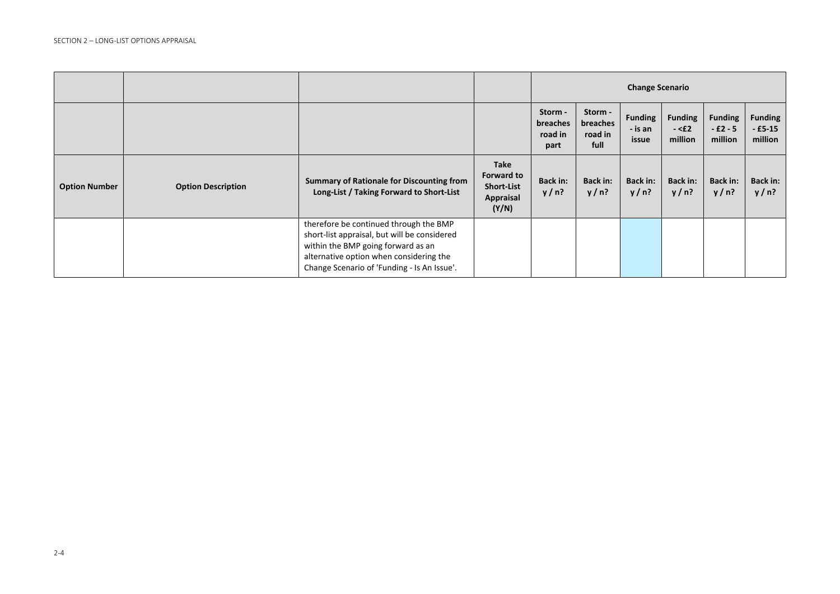|                      |                           |                                                                                                                                                                                                                        |                                                               | <b>Change Scenario</b>                 |                                        |                                    |                                      |                                      |                                        |
|----------------------|---------------------------|------------------------------------------------------------------------------------------------------------------------------------------------------------------------------------------------------------------------|---------------------------------------------------------------|----------------------------------------|----------------------------------------|------------------------------------|--------------------------------------|--------------------------------------|----------------------------------------|
|                      |                           |                                                                                                                                                                                                                        |                                                               | Storm -<br>breaches<br>road in<br>part | Storm -<br>breaches<br>road in<br>full | <b>Funding</b><br>- is an<br>issue | <b>Funding</b><br>$-<$ £2<br>million | <b>Funding</b><br>$-E2-5$<br>million | <b>Funding</b><br>$-$ £5-15<br>million |
| <b>Option Number</b> | <b>Option Description</b> | <b>Summary of Rationale for Discounting from</b><br>Long-List / Taking Forward to Short-List                                                                                                                           | Take<br>Forward to<br><b>Short-List</b><br>Appraisal<br>(Y/N) | <b>Back in:</b><br>y/n?                | <b>Back in:</b><br>y/n?                | <b>Back in:</b><br>y/n?            | <b>Back in:</b><br>y/n?              | <b>Back in:</b><br>y/n?              | <b>Back in:</b><br>y/n?                |
|                      |                           | therefore be continued through the BMP<br>short-list appraisal, but will be considered<br>within the BMP going forward as an<br>alternative option when considering the<br>Change Scenario of 'Funding - Is An Issue'. |                                                               |                                        |                                        |                                    |                                      |                                      |                                        |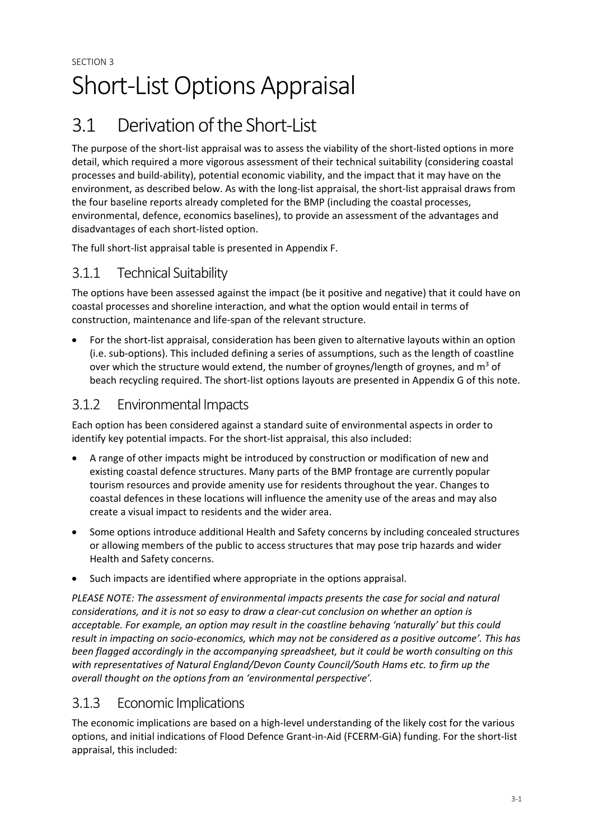# Short-List Options Appraisal

# 3.1 Derivation of the Short-List

The purpose of the short‐list appraisal was to assess the viability of the short‐listed options in more detail, which required a more vigorous assessment of their technical suitability (considering coastal processes and build‐ability), potential economic viability, and the impact that it may have on the environment, as described below. As with the long-list appraisal, the short-list appraisal draws from the four baseline reports already completed for the BMP (including the coastal processes, environmental, defence, economics baselines), to provide an assessment of the advantages and disadvantages of each short‐listed option.

The full short‐list appraisal table is presented in Appendix F.

### 3.1.1 Technical Suitability

The options have been assessed against the impact (be it positive and negative) that it could have on coastal processes and shoreline interaction, and what the option would entail in terms of construction, maintenance and life‐span of the relevant structure.

For the short-list appraisal, consideration has been given to alternative layouts within an option (i.e. sub‐options). This included defining a series of assumptions, such as the length of coastline over which the structure would extend, the number of grovnes/length of groynes, and  $m<sup>3</sup>$  of beach recycling required. The short-list options layouts are presented in Appendix G of this note.

### 3.1.2 Environmental Impacts

Each option has been considered against a standard suite of environmental aspects in order to identify key potential impacts. For the short‐list appraisal, this also included:

- A range of other impacts might be introduced by construction or modification of new and existing coastal defence structures. Many parts of the BMP frontage are currently popular tourism resources and provide amenity use for residents throughout the year. Changes to coastal defences in these locations will influence the amenity use of the areas and may also create a visual impact to residents and the wider area.
- Some options introduce additional Health and Safety concerns by including concealed structures or allowing members of the public to access structures that may pose trip hazards and wider Health and Safety concerns.
- Such impacts are identified where appropriate in the options appraisal.

*PLEASE NOTE: The assessment of environmental impacts presents the case for social and natural* considerations, and it is not so easy to draw a clear-cut conclusion on whether an option is *acceptable. For example, an option may result in the coastline behaving 'naturally' but this could* result in impacting on socio-economics, which may not be considered as a positive outcome'. This has *been flagged accordingly in the accompanying spreadsheet, but it could be worth consulting on this with representatives of Natural England/Devon County Council/South Hams etc. to firm up the overall thought on the options from an 'environmental perspective'.*

### 3.1.3 Economic Implications

The economic implications are based on a high-level understanding of the likely cost for the various options, and initial indications of Flood Defence Grant‐in‐Aid (FCERM‐GiA) funding. For the short‐list appraisal, this included: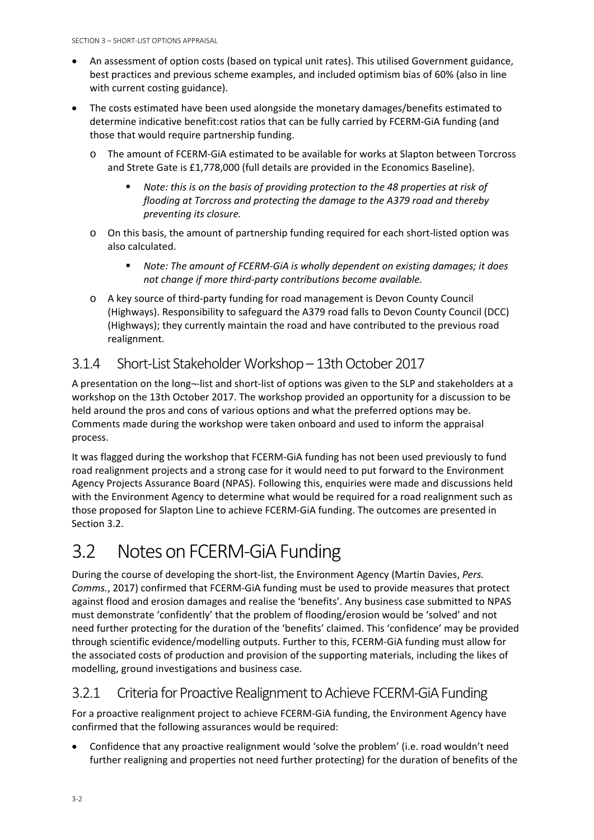- An assessment of option costs (based on typical unit rates). This utilised Government guidance, best practices and previous scheme examples, and included optimism bias of 60% (also in line with current costing guidance).
- The costs estimated have been used alongside the monetary damages/benefits estimated to determine indicative benefit:cost ratios that can be fully carried by FCERM‐GiA funding (and those that would require partnership funding.
	- o The amount of FCERM‐GiA estimated to be available for works at Slapton between Torcross and Strete Gate is £1,778,000 (full details are provided in the Economics Baseline).
		- *Note: this is on the basis of providing protection to the 48 properties at risk of flooding at Torcross and protecting the damage to the A379 road and thereby preventing its closure.*
	- o On this basis, the amount of partnership funding required for each short‐listed option was also calculated.
		- *Note: The amount of FCERM‐GiA is wholly dependent on existing damages; it does not change if more third‐party contributions become available.*
	- o A key source of third‐party funding for road management is Devon County Council (Highways). Responsibility to safeguard the A379 road falls to Devon County Council (DCC) (Highways); they currently maintain the road and have contributed to the previous road realignment.

## 3.1.4 Short-List Stakeholder Workshop – 13th October 2017

A presentation on the long--list and short-list of options was given to the SLP and stakeholders at a workshop on the 13th October 2017. The workshop provided an opportunity for a discussion to be held around the pros and cons of various options and what the preferred options may be. Comments made during the workshop were taken onboard and used to inform the appraisal process.

It was flagged during the workshop that FCERM‐GiA funding has not been used previously to fund road realignment projects and a strong case for it would need to put forward to the Environment Agency Projects Assurance Board (NPAS). Following this, enquiries were made and discussions held with the Environment Agency to determine what would be required for a road realignment such as those proposed for Slapton Line to achieve FCERM‐GiA funding. The outcomes are presented in Section 3.2.

## 3.2 Notes on FCERM-GiA Funding

During the course of developing the short‐list, the Environment Agency (Martin Davies, *Pers. Comms.*, 2017) confirmed that FCERM‐GiA funding must be used to provide measures that protect against flood and erosion damages and realise the 'benefits'. Any business case submitted to NPAS must demonstrate 'confidently' that the problem of flooding/erosion would be 'solved' and not need further protecting for the duration of the 'benefits' claimed. This 'confidence' may be provided through scientific evidence/modelling outputs. Further to this, FCERM‐GiA funding must allow for the associated costs of production and provision of the supporting materials, including the likes of modelling, ground investigations and business case.

## 3.2.1 Criteria for Proactive Realignment to Achieve FCERM-GiA Funding

For a proactive realignment project to achieve FCERM‐GiA funding, the Environment Agency have confirmed that the following assurances would be required:

 Confidence that any proactive realignment would 'solve the problem' (i.e. road wouldn't need further realigning and properties not need further protecting) for the duration of benefits of the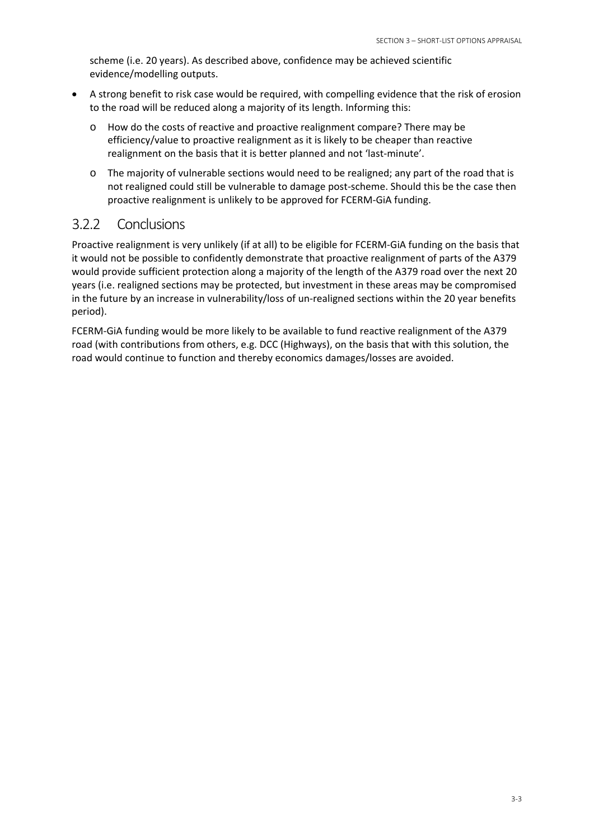scheme (i.e. 20 years). As described above, confidence may be achieved scientific evidence/modelling outputs.

- A strong benefit to risk case would be required, with compelling evidence that the risk of erosion to the road will be reduced along a majority of its length. Informing this:
	- o How do the costs of reactive and proactive realignment compare? There may be efficiency/value to proactive realignment as it is likely to be cheaper than reactive realignment on the basis that it is better planned and not 'last-minute'.
	- o The majority of vulnerable sections would need to be realigned; any part of the road that is not realigned could still be vulnerable to damage post‐scheme. Should this be the case then proactive realignment is unlikely to be approved for FCERM‐GiA funding.

#### 3.2.2 Conclusions

Proactive realignment is very unlikely (if at all) to be eligible for FCERM‐GiA funding on the basis that it would not be possible to confidently demonstrate that proactive realignment of parts of the A379 would provide sufficient protection along a majority of the length of the A379 road over the next 20 years (i.e. realigned sections may be protected, but investment in these areas may be compromised in the future by an increase in vulnerability/loss of un-realigned sections within the 20 year benefits period).

FCERM‐GiA funding would be more likely to be available to fund reactive realignment of the A379 road (with contributions from others, e.g. DCC (Highways), on the basis that with this solution, the road would continue to function and thereby economics damages/losses are avoided.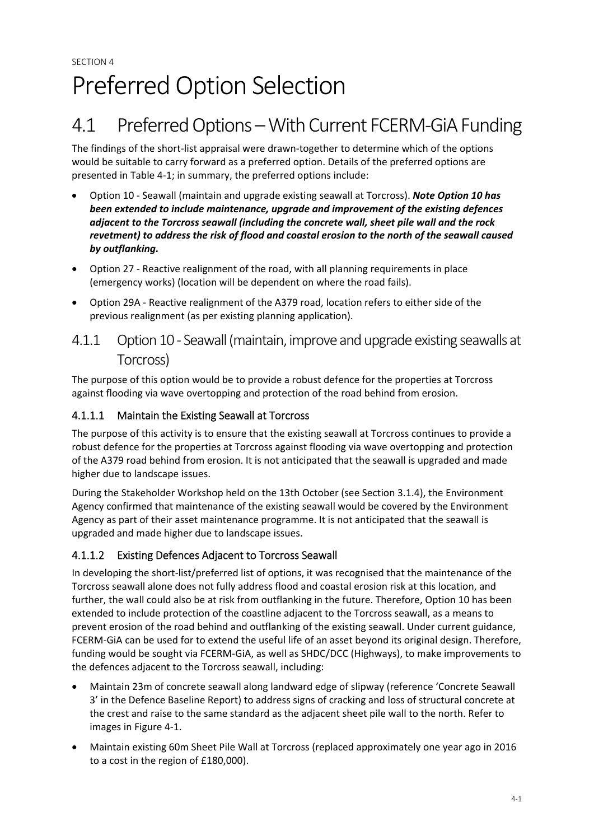# Preferred Option Selection

## 4.1 Preferred Options – With Current FCERM-GiA Funding

The findings of the short-list appraisal were drawn-together to determine which of the options would be suitable to carry forward as a preferred option. Details of the preferred options are presented in Table 4‐1; in summary, the preferred options include:

- Option 10 ‐ Seawall (maintain and upgrade existing seawall at Torcross). *Note Option 10 has been extended to include maintenance, upgrade and improvement of the existing defences adjacent to the Torcross seawall (including the concrete wall, sheet pile wall and the rock revetment) to address the risk of flood and coastal erosion to the north of the seawall caused by outflanking.*
- Option 27 Reactive realignment of the road, with all planning requirements in place (emergency works) (location will be dependent on where the road fails).
- Option 29A ‐ Reactive realignment of the A379 road, location refers to either side of the previous realignment (as per existing planning application).

### 4.1.1 Option 10 - Seawall (maintain, improve and upgrade existing seawalls at Torcross)

The purpose of this option would be to provide a robust defence for the properties at Torcross against flooding via wave overtopping and protection of the road behind from erosion.

#### 4.1.1.1 Maintain the Existing Seawall at Torcross

The purpose of this activity is to ensure that the existing seawall at Torcross continues to provide a robust defence for the properties at Torcross against flooding via wave overtopping and protection of the A379 road behind from erosion. It is not anticipated that the seawall is upgraded and made higher due to landscape issues.

During the Stakeholder Workshop held on the 13th October (see Section 3.1.4), the Environment Agency confirmed that maintenance of the existing seawall would be covered by the Environment Agency as part of their asset maintenance programme. It is not anticipated that the seawall is upgraded and made higher due to landscape issues.

#### 4.1.1.2 Existing Defences Adjacent to Torcross Seawall

In developing the short-list/preferred list of options, it was recognised that the maintenance of the Torcross seawall alone does not fully address flood and coastal erosion risk at this location, and further, the wall could also be at risk from outflanking in the future. Therefore, Option 10 has been extended to include protection of the coastline adjacent to the Torcross seawall, as a means to prevent erosion of the road behind and outflanking of the existing seawall. Under current guidance, FCERM‐GiA can be used for to extend the useful life of an asset beyond its original design. Therefore, funding would be sought via FCERM‐GiA, as well as SHDC/DCC (Highways), to make improvements to the defences adjacent to the Torcross seawall, including:

- Maintain 23m of concrete seawall along landward edge of slipway (reference 'Concrete Seawall 3' in the Defence Baseline Report) to address signs of cracking and loss of structural concrete at the crest and raise to the same standard as the adjacent sheet pile wall to the north. Refer to images in Figure 4‐1.
- Maintain existing 60m Sheet Pile Wall at Torcross (replaced approximately one year ago in 2016 to a cost in the region of £180,000).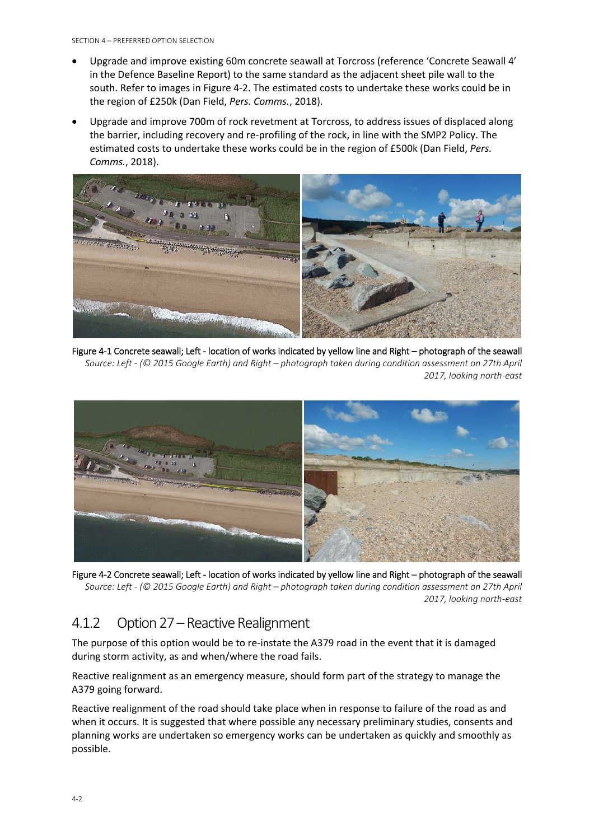- Upgrade and improve existing 60m concrete seawall at Torcross (reference 'Concrete Seawall 4' in the Defence Baseline Report) to the same standard as the adjacent sheet pile wall to the south. Refer to images in Figure 4‐2. The estimated costs to undertake these works could be in the region of £250k (Dan Field, *Pers. Comms.*, 2018).
- Upgrade and improve 700m of rock revetment at Torcross, to address issues of displaced along the barrier, including recovery and re‐profiling of the rock, in line with the SMP2 Policy. The estimated costs to undertake these works could be in the region of £500k (Dan Field, *Pers. Comms.*, 2018).



Figure 4-1 Concrete seawall; Left - location of works indicated by yellow line and Right – photograph of the seawall *Source: Left ‐ (© 2015 Google Earth) and Right – photograph taken during condition assessment on 27th April 2017, looking north‐east* 



Figure 4-2 Concrete seawall; Left - location of works indicated by yellow line and Right – photograph of the seawall *Source: Left ‐ (© 2015 Google Earth) and Right – photograph taken during condition assessment on 27th April 2017, looking north‐east* 

### 4.1.2 Option 27 – Reactive Realignment

The purpose of this option would be to re-instate the A379 road in the event that it is damaged during storm activity, as and when/where the road fails.

Reactive realignment as an emergency measure, should form part of the strategy to manage the A379 going forward.

Reactive realignment of the road should take place when in response to failure of the road as and when it occurs. It is suggested that where possible any necessary preliminary studies, consents and planning works are undertaken so emergency works can be undertaken as quickly and smoothly as possible.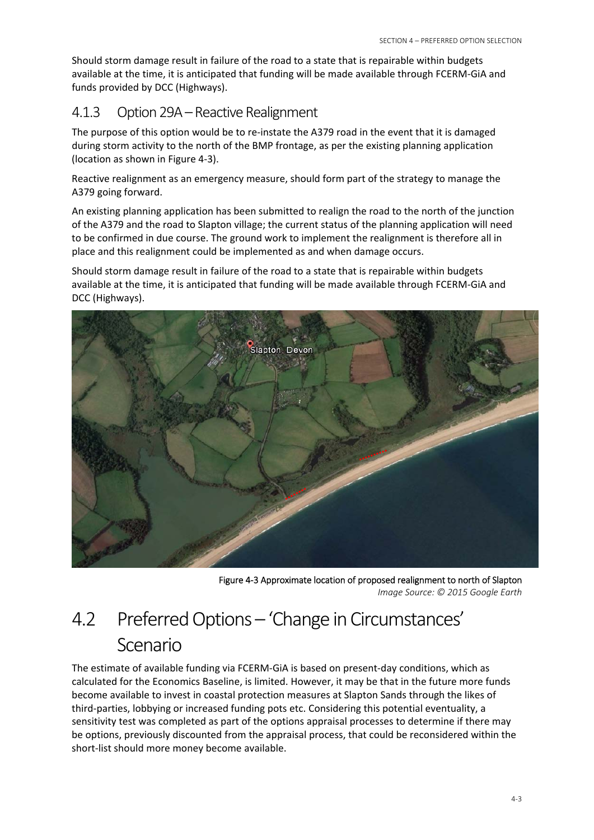Should storm damage result in failure of the road to a state that is repairable within budgets available at the time, it is anticipated that funding will be made available through FCERM‐GiA and funds provided by DCC (Highways).

### 4.1.3 Option 29A – Reactive Realignment

The purpose of this option would be to re-instate the A379 road in the event that it is damaged during storm activity to the north of the BMP frontage, as per the existing planning application (location as shown in Figure 4‐3).

Reactive realignment as an emergency measure, should form part of the strategy to manage the A379 going forward.

An existing planning application has been submitted to realign the road to the north of the junction of the A379 and the road to Slapton village; the current status of the planning application will need to be confirmed in due course. The ground work to implement the realignment is therefore all in place and this realignment could be implemented as and when damage occurs.

Should storm damage result in failure of the road to a state that is repairable within budgets available at the time, it is anticipated that funding will be made available through FCERM‐GiA and DCC (Highways).



Figure 4‐3 Approximate location of proposed realignment to north of Slapton *Image Source: © 2015 Google Earth* 

## 4.2 Preferred Options – 'Change in Circumstances' Scenario

The estimate of available funding via FCERM‐GiA is based on present‐day conditions, which as calculated for the Economics Baseline, is limited. However, it may be that in the future more funds become available to invest in coastal protection measures at Slapton Sands through the likes of third‐parties, lobbying or increased funding pots etc. Considering this potential eventuality, a sensitivity test was completed as part of the options appraisal processes to determine if there may be options, previously discounted from the appraisal process, that could be reconsidered within the short‐list should more money become available.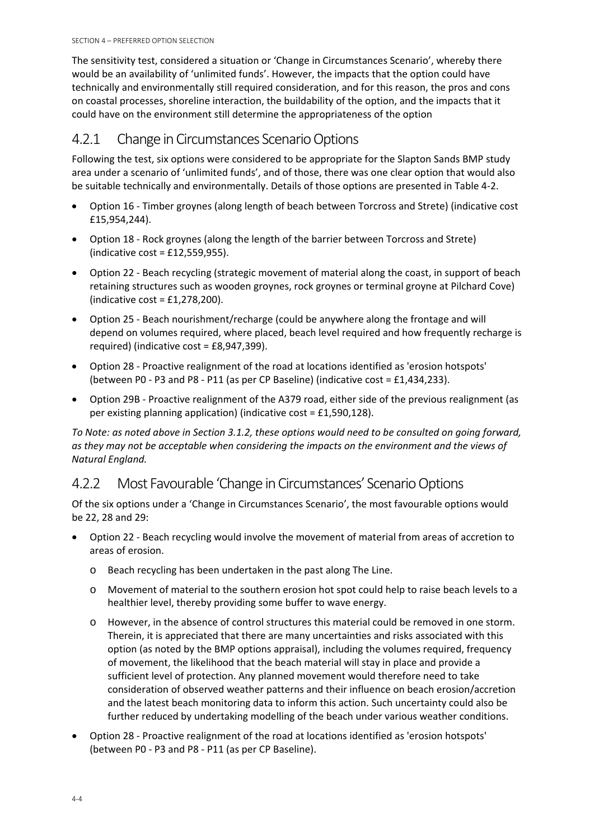The sensitivity test, considered a situation or 'Change in Circumstances Scenario', whereby there would be an availability of 'unlimited funds'. However, the impacts that the option could have technically and environmentally still required consideration, and for this reason, the pros and cons on coastal processes, shoreline interaction, the buildability of the option, and the impacts that it could have on the environment still determine the appropriateness of the option

### 4.2.1 Change in Circumstances Scenario Options

Following the test, six options were considered to be appropriate for the Slapton Sands BMP study area under a scenario of 'unlimited funds', and of those, there was one clear option that would also be suitable technically and environmentally. Details of those options are presented in Table 4‐2.

- Option 16 ‐ Timber groynes (along length of beach between Torcross and Strete) (indicative cost £15,954,244).
- Option 18 ‐ Rock groynes (along the length of the barrier between Torcross and Strete) (indicative cost = £12,559,955).
- Option 22 Beach recycling (strategic movement of material along the coast, in support of beach retaining structures such as wooden groynes, rock groynes or terminal groyne at Pilchard Cove) (indicative cost =  $£1,278,200$ ).
- Option 25 ‐ Beach nourishment/recharge (could be anywhere along the frontage and will depend on volumes required, where placed, beach level required and how frequently recharge is required) (indicative cost = £8,947,399).
- Option 28 ‐ Proactive realignment of the road at locations identified as 'erosion hotspots' (between P0 ‐ P3 and P8 ‐ P11 (as per CP Baseline) (indicative cost = £1,434,233).
- Option 29B Proactive realignment of the A379 road, either side of the previous realignment (as per existing planning application) (indicative cost = £1,590,128).

To Note: as noted above in Section 3.1.2, these options would need to be consulted on going forward, *as they may not be acceptable when considering the impacts on the environment and the views of Natural England.*

## 4.2.2 Most Favourable 'Change in Circumstances' Scenario Options

Of the six options under a 'Change in Circumstances Scenario', the most favourable options would be 22, 28 and 29:

- Option 22 ‐ Beach recycling would involve the movement of material from areas of accretion to areas of erosion.
	- o Beach recycling has been undertaken in the past along The Line.
	- o Movement of material to the southern erosion hot spot could help to raise beach levels to a healthier level, thereby providing some buffer to wave energy.
	- o However, in the absence of control structures this material could be removed in one storm. Therein, it is appreciated that there are many uncertainties and risks associated with this option (as noted by the BMP options appraisal), including the volumes required, frequency of movement, the likelihood that the beach material will stay in place and provide a sufficient level of protection. Any planned movement would therefore need to take consideration of observed weather patterns and their influence on beach erosion/accretion and the latest beach monitoring data to inform this action. Such uncertainty could also be further reduced by undertaking modelling of the beach under various weather conditions.
- Option 28 ‐ Proactive realignment of the road at locations identified as 'erosion hotspots' (between P0 ‐ P3 and P8 ‐ P11 (as per CP Baseline).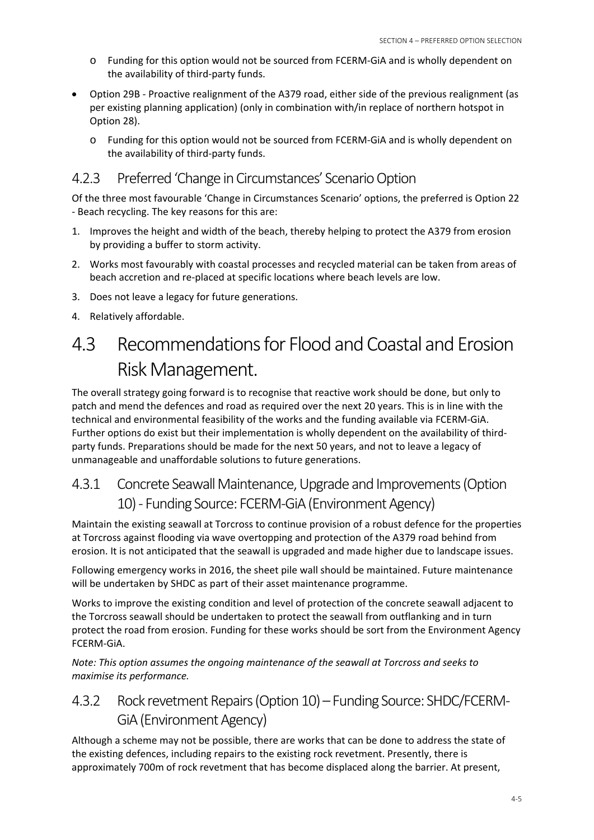- o Funding for this option would not be sourced from FCERM‐GiA and is wholly dependent on the availability of third‐party funds.
- Option 29B ‐ Proactive realignment of the A379 road, either side of the previous realignment (as per existing planning application) (only in combination with/in replace of northern hotspot in Option 28).
	- o Funding for this option would not be sourced from FCERM‐GiA and is wholly dependent on the availability of third‐party funds.

## 4.2.3 Preferred 'Change in Circumstances' Scenario Option

Of the three most favourable 'Change in Circumstances Scenario' options, the preferred is Option 22 ‐ Beach recycling. The key reasons for this are:

- 1. Improves the height and width of the beach, thereby helping to protect the A379 from erosion by providing a buffer to storm activity.
- 2. Works most favourably with coastal processes and recycled material can be taken from areas of beach accretion and re-placed at specific locations where beach levels are low.
- 3. Does not leave a legacy for future generations.
- 4. Relatively affordable.

# 4.3 Recommendations for Flood and Coastal and Erosion Risk Management.

The overall strategy going forward is to recognise that reactive work should be done, but only to patch and mend the defences and road as required over the next 20 years. This is in line with the technical and environmental feasibility of the works and the funding available via FCERM‐GiA. Further options do exist but their implementation is wholly dependent on the availability of thirdparty funds. Preparations should be made for the next 50 years, and not to leave a legacy of unmanageable and unaffordable solutions to future generations.

## 4.3.1 Concrete Seawall Maintenance, Upgrade and Improvements (Option 10) - Funding Source: FCERM-GiA (Environment Agency)

Maintain the existing seawall at Torcross to continue provision of a robust defence for the properties at Torcross against flooding via wave overtopping and protection of the A379 road behind from erosion. It is not anticipated that the seawall is upgraded and made higher due to landscape issues.

Following emergency works in 2016, the sheet pile wall should be maintained. Future maintenance will be undertaken by SHDC as part of their asset maintenance programme.

Works to improve the existing condition and level of protection of the concrete seawall adjacent to the Torcross seawall should be undertaken to protect the seawall from outflanking and in turn protect the road from erosion. Funding for these works should be sort from the Environment Agency FCERM‐GiA.

*Note: This option assumes the ongoing maintenance of the seawall at Torcross and seeks to maximise its performance.*

## 4.3.2 Rock revetment Repairs (Option 10) – Funding Source: SHDC/FCERM-GiA (Environment Agency)

Although a scheme may not be possible, there are works that can be done to address the state of the existing defences, including repairs to the existing rock revetment. Presently, there is approximately 700m of rock revetment that has become displaced along the barrier. At present,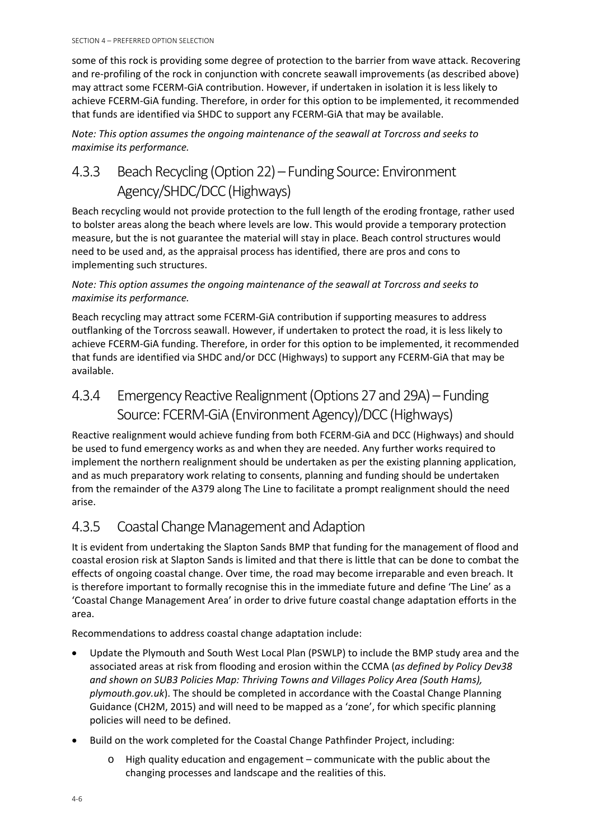some of this rock is providing some degree of protection to the barrier from wave attack. Recovering and re-profiling of the rock in conjunction with concrete seawall improvements (as described above) may attract some FCERM‐GiA contribution. However, if undertaken in isolation it is less likely to achieve FCERM‐GiA funding. Therefore, in order for this option to be implemented, it recommended that funds are identified via SHDC to support any FCERM‐GiA that may be available.

*Note: This option assumes the ongoing maintenance of the seawall at Torcross and seeks to maximise its performance.*

## 4.3.3 Beach Recycling (Option 22) – Funding Source: Environment Agency/SHDC/DCC(Highways)

Beach recycling would not provide protection to the full length of the eroding frontage, rather used to bolster areas along the beach where levels are low. This would provide a temporary protection measure, but the is not guarantee the material will stay in place. Beach control structures would need to be used and, as the appraisal process has identified, there are pros and cons to implementing such structures.

#### *Note: This option assumes the ongoing maintenance of the seawall at Torcross and seeks to maximise its performance.*

Beach recycling may attract some FCERM‐GiA contribution if supporting measures to address outflanking of the Torcross seawall. However, if undertaken to protect the road, it is less likely to achieve FCERM‐GiA funding. Therefore, in order for this option to be implemented, it recommended that funds are identified via SHDC and/or DCC (Highways) to support any FCERM‐GiA that may be available.

## 4.3.4 Emergency Reactive Realignment (Options 27 and 29A) – Funding Source: FCERM-GiA (Environment Agency)/DCC (Highways)

Reactive realignment would achieve funding from both FCERM‐GiA and DCC (Highways) and should be used to fund emergency works as and when they are needed. Any further works required to implement the northern realignment should be undertaken as per the existing planning application, and as much preparatory work relating to consents, planning and funding should be undertaken from the remainder of the A379 along The Line to facilitate a prompt realignment should the need arise.

## 4.3.5 Coastal Change Management and Adaption

It is evident from undertaking the Slapton Sands BMP that funding for the management of flood and coastal erosion risk at Slapton Sands is limited and that there is little that can be done to combat the effects of ongoing coastal change. Over time, the road may become irreparable and even breach. It is therefore important to formally recognise this in the immediate future and define 'The Line' as a 'Coastal Change Management Area' in order to drive future coastal change adaptation efforts in the area.

Recommendations to address coastal change adaptation include:

- Update the Plymouth and South West Local Plan (PSWLP) to include the BMP study area and the associated areas at risk from flooding and erosion within the CCMA (*as defined by Policy Dev38 and shown on SUB3 Policies Map: Thriving Towns and Villages Policy Area (South Hams), plymouth.gov.uk*). The should be completed in accordance with the Coastal Change Planning Guidance (CH2M, 2015) and will need to be mapped as a 'zone', for which specific planning policies will need to be defined.
- Build on the work completed for the Coastal Change Pathfinder Project, including:
	- o High quality education and engagement communicate with the public about the changing processes and landscape and the realities of this.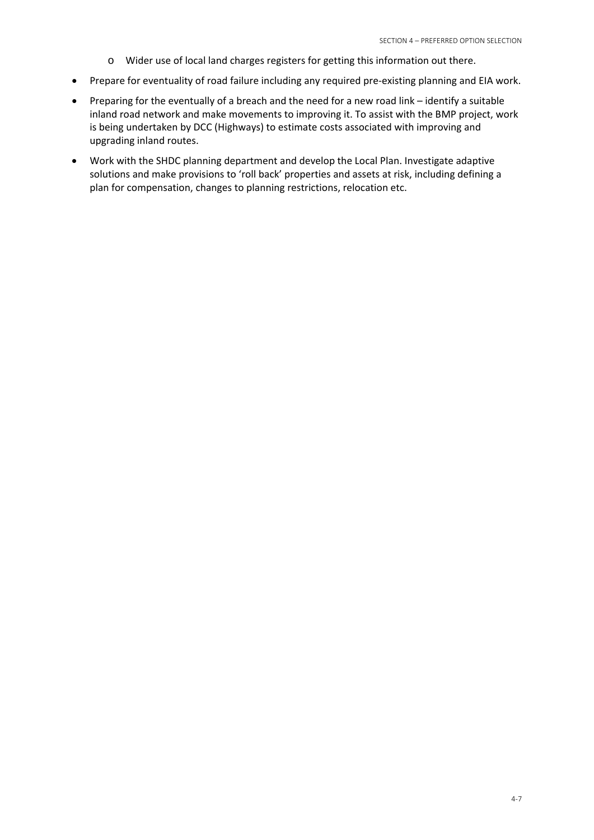- o Wider use of local land charges registers for getting this information out there.
- Prepare for eventuality of road failure including any required pre-existing planning and EIA work.
- Preparing for the eventually of a breach and the need for a new road link identify a suitable inland road network and make movements to improving it. To assist with the BMP project, work is being undertaken by DCC (Highways) to estimate costs associated with improving and upgrading inland routes.
- Work with the SHDC planning department and develop the Local Plan. Investigate adaptive solutions and make provisions to 'roll back' properties and assets at risk, including defining a plan for compensation, changes to planning restrictions, relocation etc.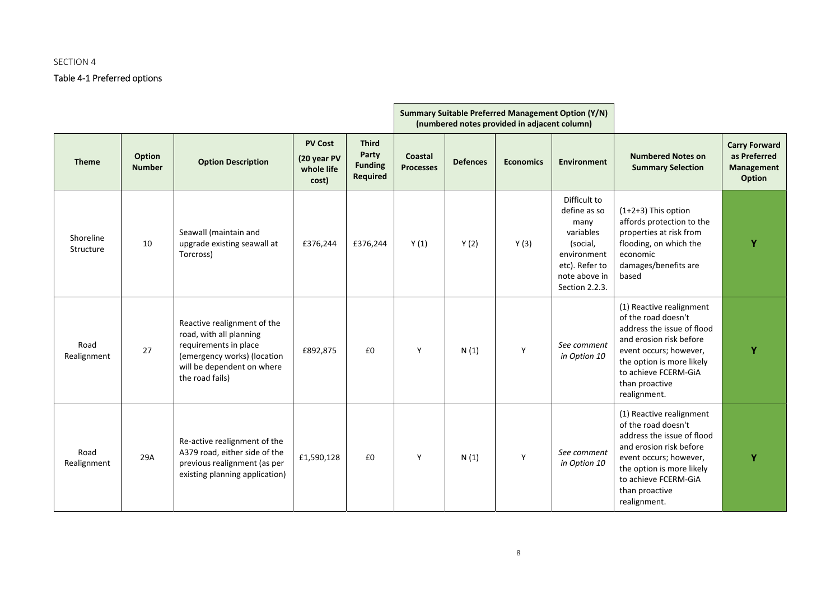| <b>SECTION 4</b> |
|------------------|
|------------------|

#### Table 4‐1 Preferred options

|                        |                         |                                                                                                                                                                 |                                                      |                                                            | <b>Summary Suitable Preferred Management Option (Y/N)</b><br>(numbered notes provided in adjacent column) |                 |                  |                                                                                                                                   |                                                                                                                                                                                                                           |                                                                            |
|------------------------|-------------------------|-----------------------------------------------------------------------------------------------------------------------------------------------------------------|------------------------------------------------------|------------------------------------------------------------|-----------------------------------------------------------------------------------------------------------|-----------------|------------------|-----------------------------------------------------------------------------------------------------------------------------------|---------------------------------------------------------------------------------------------------------------------------------------------------------------------------------------------------------------------------|----------------------------------------------------------------------------|
| <b>Theme</b>           | Option<br><b>Number</b> | <b>Option Description</b>                                                                                                                                       | <b>PV Cost</b><br>(20 year PV<br>whole life<br>cost) | <b>Third</b><br>Party<br><b>Funding</b><br><b>Required</b> | Coastal<br><b>Processes</b>                                                                               | <b>Defences</b> | <b>Economics</b> | <b>Environment</b>                                                                                                                | <b>Numbered Notes on</b><br><b>Summary Selection</b>                                                                                                                                                                      | <b>Carry Forward</b><br>as Preferred<br><b>Management</b><br><b>Option</b> |
| Shoreline<br>Structure | 10                      | Seawall (maintain and<br>upgrade existing seawall at<br>Torcross)                                                                                               | £376,244                                             | £376,244                                                   | Y(1)                                                                                                      | Y(2)            | Y(3)             | Difficult to<br>define as so<br>many<br>variables<br>(social,<br>environment<br>etc). Refer to<br>note above in<br>Section 2.2.3. | $(1+2+3)$ This option<br>affords protection to the<br>properties at risk from<br>flooding, on which the<br>economic<br>damages/benefits are<br>based                                                                      | Y                                                                          |
| Road<br>Realignment    | 27                      | Reactive realignment of the<br>road, with all planning<br>requirements in place<br>(emergency works) (location<br>will be dependent on where<br>the road fails) | £892,875                                             | £0                                                         | Y                                                                                                         | N(1)            | Y                | See comment<br>in Option 10                                                                                                       | (1) Reactive realignment<br>of the road doesn't<br>address the issue of flood<br>and erosion risk before<br>event occurs; however,<br>the option is more likely<br>to achieve FCERM-GIA<br>than proactive<br>realignment. | Ÿ                                                                          |
| Road<br>Realignment    | 29A                     | Re-active realignment of the<br>A379 road, either side of the<br>previous realignment (as per<br>existing planning application)                                 | £1,590,128                                           | £0                                                         | Y                                                                                                         | N(1)            | Y                | See comment<br>in Option 10                                                                                                       | (1) Reactive realignment<br>of the road doesn't<br>address the issue of flood<br>and erosion risk before<br>event occurs; however,<br>the option is more likely<br>to achieve FCERM-GIA<br>than proactive<br>realignment. | Ÿ                                                                          |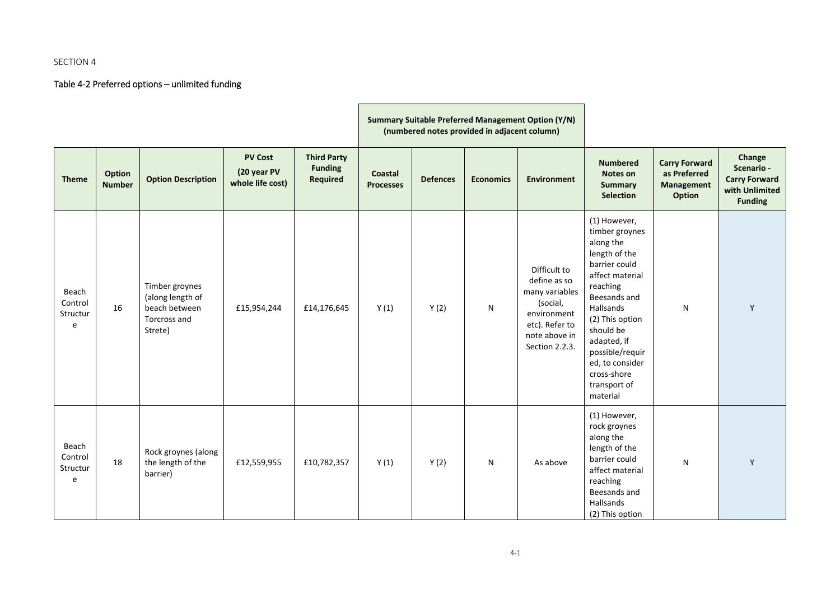#### Table 4‐2 Preferred options – unlimited funding

|                                   |                         |                                                                                |                                                   |                                                         |                             |                 | (numbered notes provided in adjacent column) | <b>Summary Suitable Preferred Management Option (Y/N)</b>                                                                      |                                                                                                                                                                                                                                                                                  |                                                                            |                                                                                  |
|-----------------------------------|-------------------------|--------------------------------------------------------------------------------|---------------------------------------------------|---------------------------------------------------------|-----------------------------|-----------------|----------------------------------------------|--------------------------------------------------------------------------------------------------------------------------------|----------------------------------------------------------------------------------------------------------------------------------------------------------------------------------------------------------------------------------------------------------------------------------|----------------------------------------------------------------------------|----------------------------------------------------------------------------------|
| <b>Theme</b>                      | Option<br><b>Number</b> | <b>Option Description</b>                                                      | <b>PV Cost</b><br>(20 year PV<br>whole life cost) | <b>Third Party</b><br><b>Funding</b><br><b>Required</b> | Coastal<br><b>Processes</b> | <b>Defences</b> | <b>Economics</b>                             | <b>Environment</b>                                                                                                             | <b>Numbered</b><br>Notes on<br><b>Summary</b><br><b>Selection</b>                                                                                                                                                                                                                | <b>Carry Forward</b><br>as Preferred<br><b>Management</b><br><b>Option</b> | Change<br>Scenario -<br><b>Carry Forward</b><br>with Unlimited<br><b>Funding</b> |
| Beach<br>Control<br>Structur<br>e | 16                      | Timber groynes<br>(along length of<br>beach between<br>Torcross and<br>Strete) | £15,954,244                                       | £14,176,645                                             | Y(1)                        | Y(2)            | ${\sf N}$                                    | Difficult to<br>define as so<br>many variables<br>(social,<br>environment<br>etc). Refer to<br>note above in<br>Section 2.2.3. | (1) However,<br>timber groynes<br>along the<br>length of the<br>barrier could<br>affect material<br>reaching<br>Beesands and<br><b>Hallsands</b><br>(2) This option<br>should be<br>adapted, if<br>possible/requir<br>ed, to consider<br>cross-shore<br>transport of<br>material | N                                                                          | Y                                                                                |
| Beach<br>Control<br>Structur<br>e | 18                      | Rock groynes (along<br>the length of the<br>barrier)                           | £12,559,955                                       | £10,782,357                                             | Y(1)                        | Y(2)            | N                                            | As above                                                                                                                       | (1) However,<br>rock groynes<br>along the<br>length of the<br>barrier could<br>affect material<br>reaching<br>Beesands and<br>Hallsands<br>(2) This option                                                                                                                       | N                                                                          | Y                                                                                |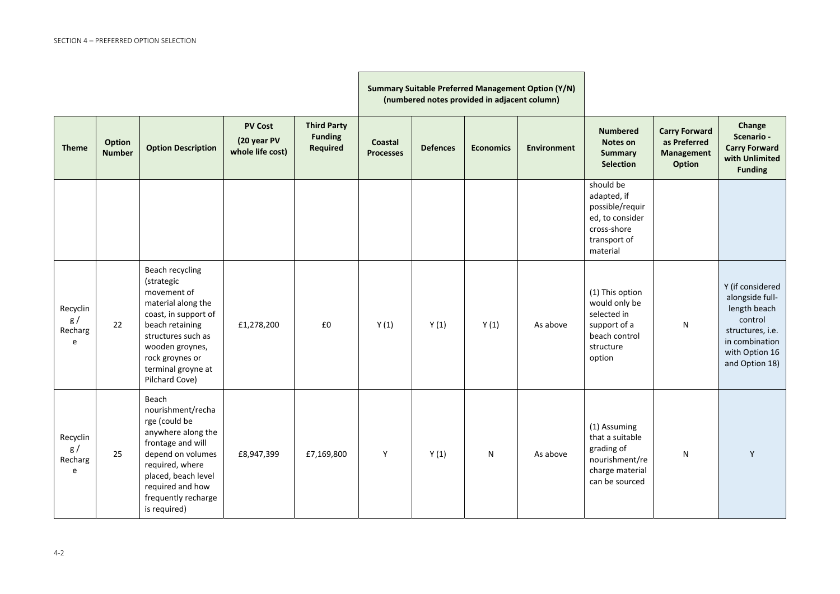**Summary Suitable Preferred Management Option (Y/N) (numbered notes provided in adjacent column)**

| <b>Theme</b>                   | Option<br><b>Number</b> | <b>Option Description</b>                                                                                                                                                                                         | <b>PV Cost</b><br>(20 year PV<br>whole life cost) | <b>Third Party</b><br><b>Funding</b><br><b>Required</b> | Coastal<br><b>Processes</b> | <b>Defences</b> | <b>Economics</b> | <b>Environment</b> | <b>Numbered</b><br>Notes on<br><b>Summary</b><br><b>Selection</b>                                         | <b>Carry Forward</b><br>as Preferred<br>Management<br><b>Option</b> | Change<br>Scenario -<br><b>Carry Forward</b><br>with Unlimited<br><b>Funding</b>                                                         |
|--------------------------------|-------------------------|-------------------------------------------------------------------------------------------------------------------------------------------------------------------------------------------------------------------|---------------------------------------------------|---------------------------------------------------------|-----------------------------|-----------------|------------------|--------------------|-----------------------------------------------------------------------------------------------------------|---------------------------------------------------------------------|------------------------------------------------------------------------------------------------------------------------------------------|
|                                |                         |                                                                                                                                                                                                                   |                                                   |                                                         |                             |                 |                  |                    | should be<br>adapted, if<br>possible/requir<br>ed, to consider<br>cross-shore<br>transport of<br>material |                                                                     |                                                                                                                                          |
| Recyclin<br>g/<br>Recharg<br>e | 22                      | Beach recycling<br>(strategic<br>movement of<br>material along the<br>coast, in support of<br>beach retaining<br>structures such as<br>wooden groynes,<br>rock groynes or<br>terminal groyne at<br>Pilchard Cove) | £1,278,200                                        | £0                                                      | Y(1)                        | Y(1)            | Y(1)             | As above           | (1) This option<br>would only be<br>selected in<br>support of a<br>beach control<br>structure<br>option   | $\mathsf{N}$                                                        | Y (if considered<br>alongside full-<br>length beach<br>control<br>structures, i.e.<br>in combination<br>with Option 16<br>and Option 18) |
| Recyclin<br>g/<br>Recharg<br>e | 25                      | Beach<br>nourishment/recha<br>rge (could be<br>anywhere along the<br>frontage and will<br>depend on volumes<br>required, where<br>placed, beach level<br>required and how<br>frequently recharge<br>is required)  | £8,947,399                                        | £7,169,800                                              | Y                           | Y(1)            | N                | As above           | (1) Assuming<br>that a suitable<br>grading of<br>nourishment/re<br>charge material<br>can be sourced      | $\mathsf{N}$                                                        | Y                                                                                                                                        |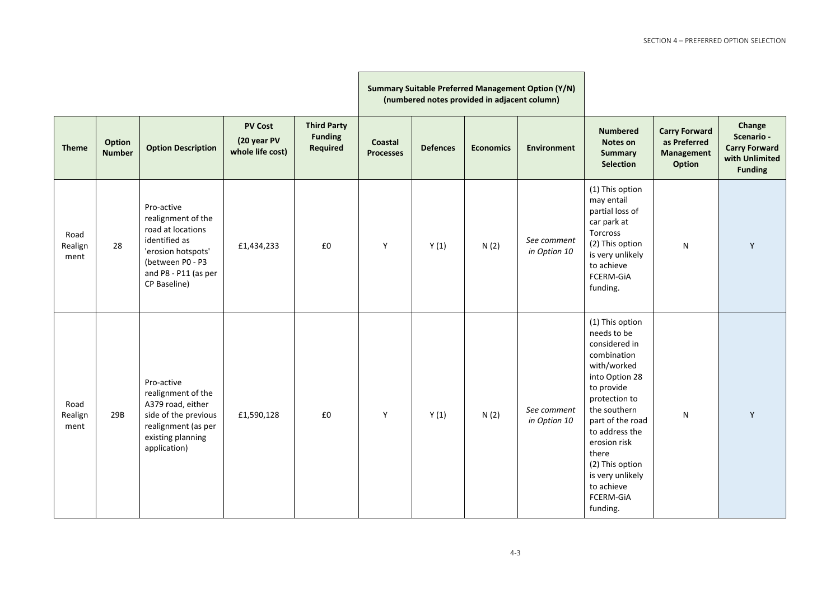| <b>Summary Suitable Preferred Management Option (Y/N)</b> |
|-----------------------------------------------------------|
| (numbered notes provided in adjacent column)              |

| <b>Theme</b>            | Option<br><b>Number</b> | <b>Option Description</b>                                                                                                                                | <b>PV Cost</b><br>(20 year PV<br>whole life cost) | <b>Third Party</b><br><b>Funding</b><br><b>Required</b> | Coastal<br><b>Processes</b> | <b>Defences</b> | <b>Economics</b> | <b>Environment</b>          | <b>Numbered</b><br>Notes on<br><b>Summary</b><br><b>Selection</b>                                                                                                                                                                                                                           | <b>Carry Forward</b><br>as Preferred<br>Management<br><b>Option</b> | Change<br>Scenario -<br><b>Carry Forward</b><br>with Unlimited<br><b>Funding</b> |
|-------------------------|-------------------------|----------------------------------------------------------------------------------------------------------------------------------------------------------|---------------------------------------------------|---------------------------------------------------------|-----------------------------|-----------------|------------------|-----------------------------|---------------------------------------------------------------------------------------------------------------------------------------------------------------------------------------------------------------------------------------------------------------------------------------------|---------------------------------------------------------------------|----------------------------------------------------------------------------------|
| Road<br>Realign<br>ment | 28                      | Pro-active<br>realignment of the<br>road at locations<br>identified as<br>'erosion hotspots'<br>(between P0 - P3<br>and P8 - P11 (as per<br>CP Baseline) | £1,434,233                                        | £0                                                      | Y                           | Y(1)            | N(2)             | See comment<br>in Option 10 | (1) This option<br>may entail<br>partial loss of<br>car park at<br>Torcross<br>(2) This option<br>is very unlikely<br>to achieve<br>FCERM-GIA<br>funding.                                                                                                                                   | N                                                                   | Y                                                                                |
| Road<br>Realign<br>ment | 29B                     | Pro-active<br>realignment of the<br>A379 road, either<br>side of the previous<br>realignment (as per<br>existing planning<br>application)                | £1,590,128                                        | £0                                                      | Y                           | Y(1)            | N(2)             | See comment<br>in Option 10 | (1) This option<br>needs to be<br>considered in<br>combination<br>with/worked<br>into Option 28<br>to provide<br>protection to<br>the southern<br>part of the road<br>to address the<br>erosion risk<br>there<br>(2) This option<br>is very unlikely<br>to achieve<br>FCERM-GIA<br>funding. | N                                                                   | Y                                                                                |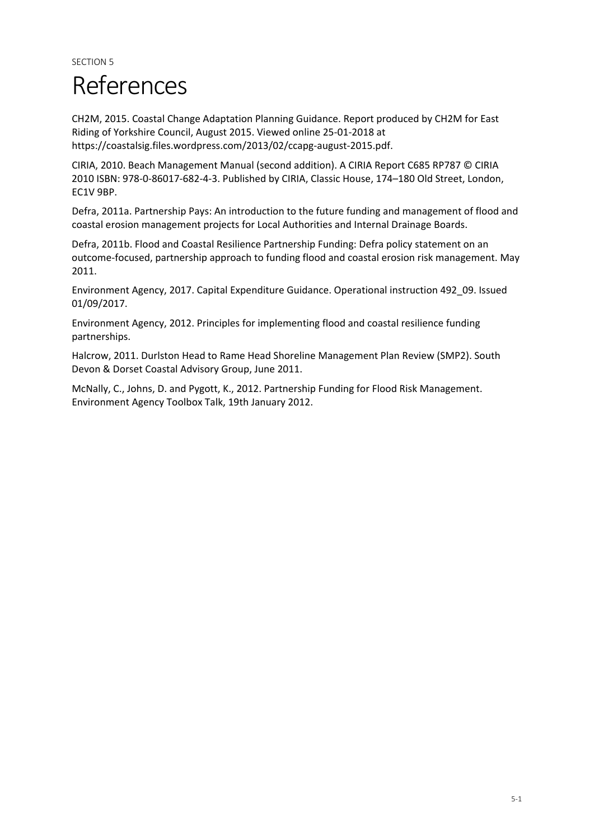# References

CH2M, 2015. Coastal Change Adaptation Planning Guidance. Report produced by CH2M for East Riding of Yorkshire Council, August 2015. Viewed online 25‐01‐2018 at https://coastalsig.files.wordpress.com/2013/02/ccapg-august-2015.pdf.

CIRIA, 2010. Beach Management Manual (second addition). A CIRIA Report C685 RP787 © CIRIA 2010 ISBN: 978‐0‐86017‐682‐4‐3. Published by CIRIA, Classic House, 174–180 Old Street, London, EC1V 9BP.

Defra, 2011a. Partnership Pays: An introduction to the future funding and management of flood and coastal erosion management projects for Local Authorities and Internal Drainage Boards.

Defra, 2011b. Flood and Coastal Resilience Partnership Funding: Defra policy statement on an outcome‐focused, partnership approach to funding flood and coastal erosion risk management. May 2011.

Environment Agency, 2017. Capital Expenditure Guidance. Operational instruction 492\_09. Issued 01/09/2017.

Environment Agency, 2012. Principles for implementing flood and coastal resilience funding partnerships.

Halcrow, 2011. Durlston Head to Rame Head Shoreline Management Plan Review (SMP2). South Devon & Dorset Coastal Advisory Group, June 2011.

McNally, C., Johns, D. and Pygott, K., 2012. Partnership Funding for Flood Risk Management. Environment Agency Toolbox Talk, 19th January 2012.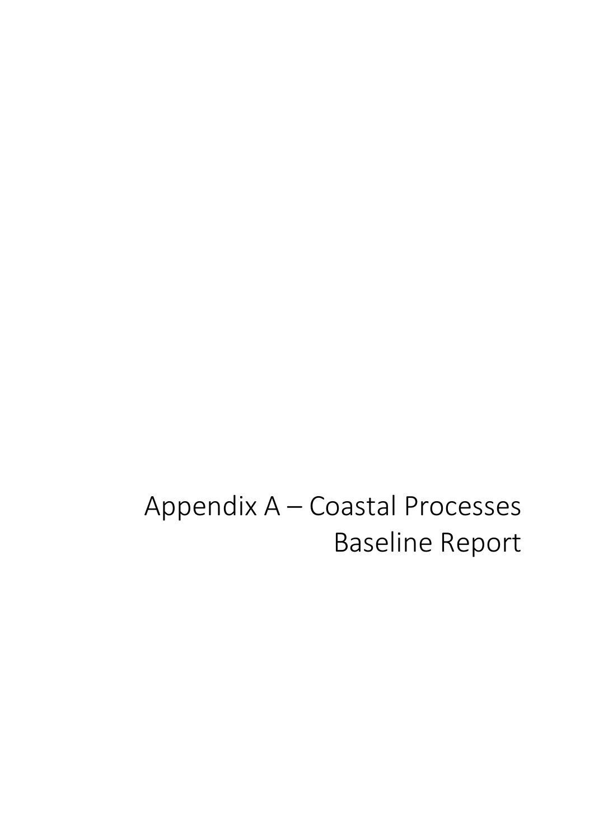Appendix A – Coastal Processes Baseline Report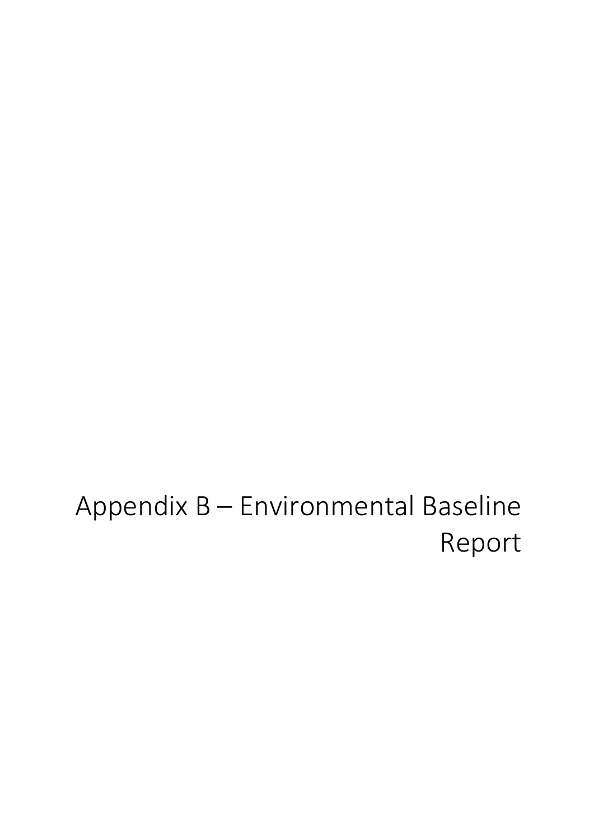Appendix B – Environmental Baseline Report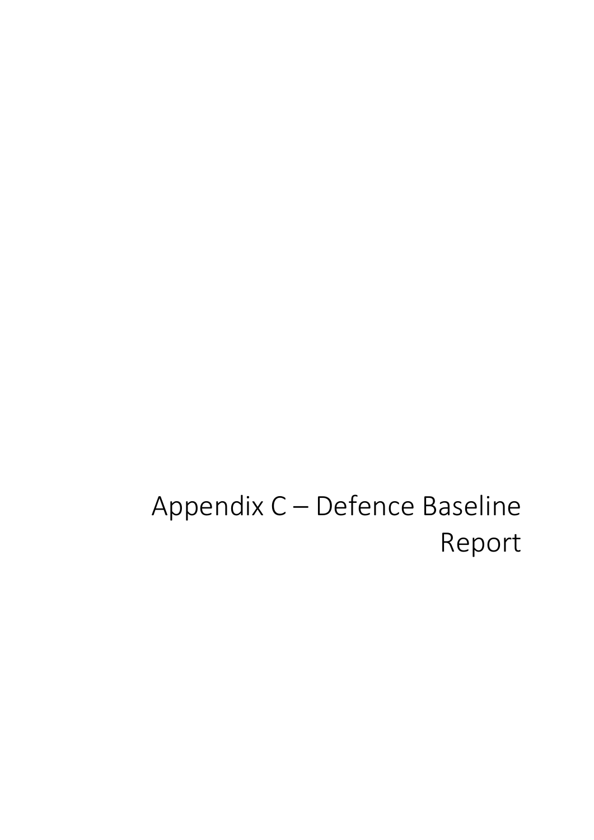# Appendix C – Defence Baseline Report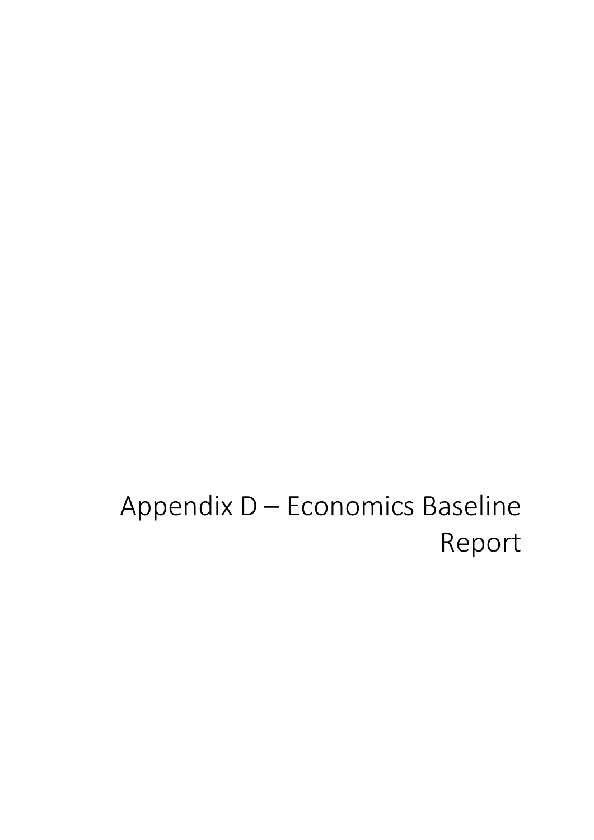# Appendix D – Economics Baseline Report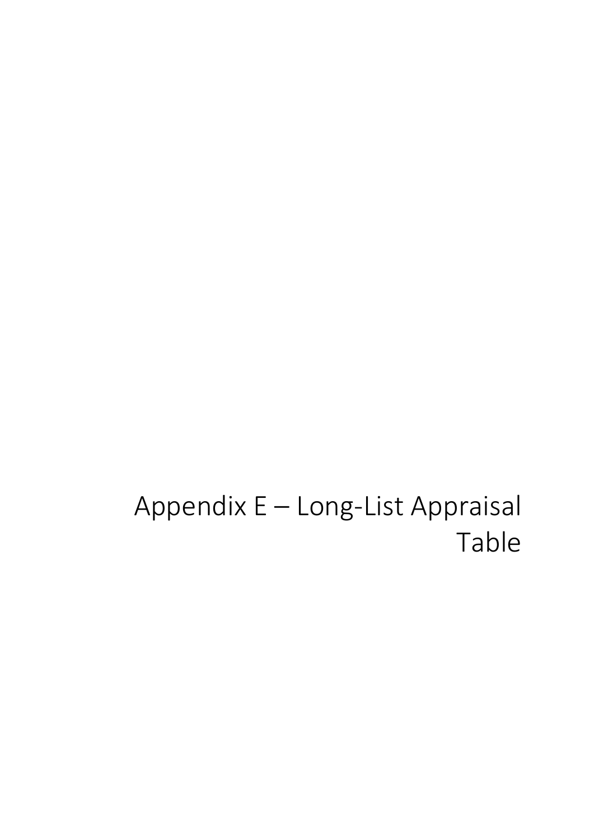# Appendix E – Long‐List Appraisal Table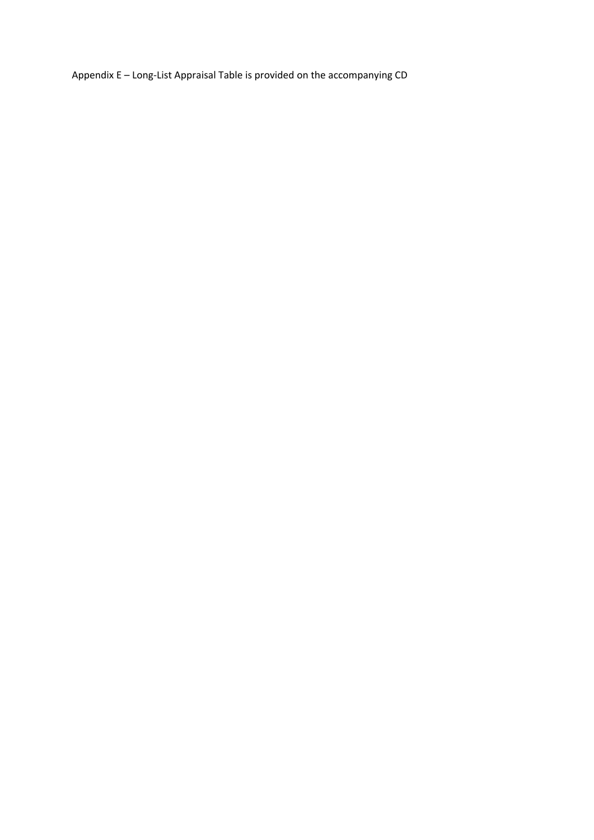Appendix E – Long-List Appraisal Table is provided on the accompanying CD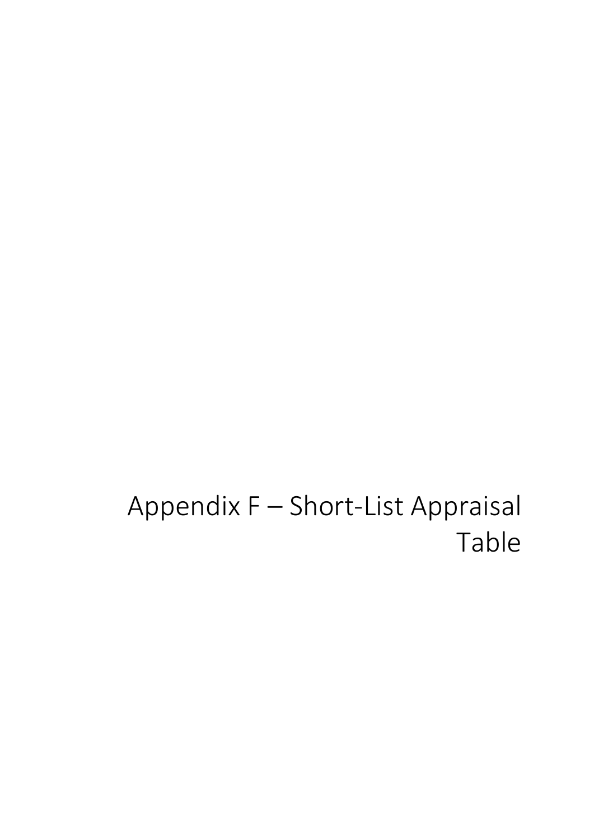# Appendix F – Short‐List Appraisal Table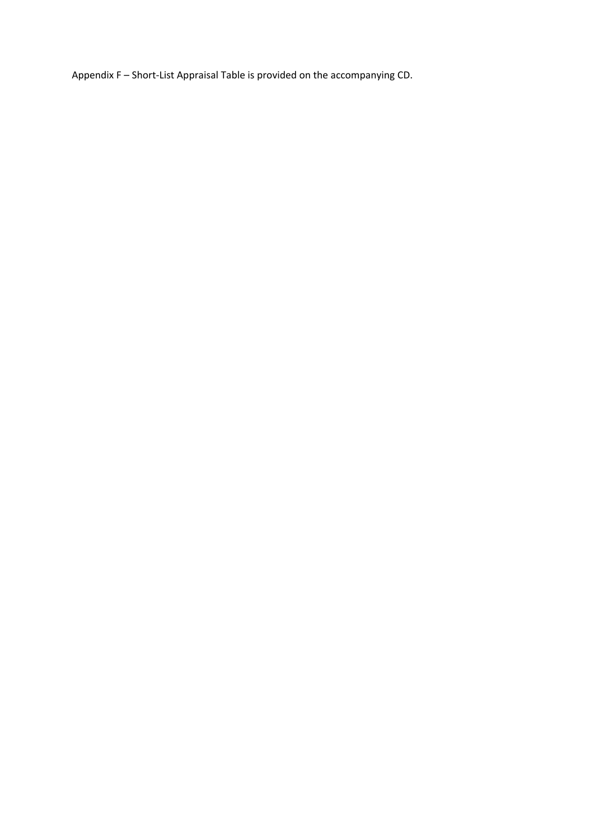Appendix F – Short‐List Appraisal Table is provided on the accompanying CD.